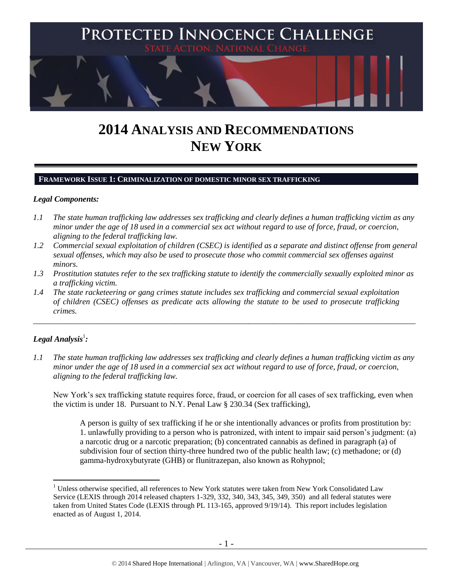

# **2014 ANALYSIS AND RECOMMENDATIONS NEW YORK**

# **FRAMEWORK ISSUE 1: CRIMINALIZATION OF DOMESTIC MINOR SEX TRAFFICKING**

#### *Legal Components:*

- *1.1 The state human trafficking law addresses sex trafficking and clearly defines a human trafficking victim as any minor under the age of 18 used in a commercial sex act without regard to use of force, fraud, or coercion, aligning to the federal trafficking law.*
- *1.2 Commercial sexual exploitation of children (CSEC) is identified as a separate and distinct offense from general sexual offenses, which may also be used to prosecute those who commit commercial sex offenses against minors.*
- *1.3 Prostitution statutes refer to the sex trafficking statute to identify the commercially sexually exploited minor as a trafficking victim.*

\_\_\_\_\_\_\_\_\_\_\_\_\_\_\_\_\_\_\_\_\_\_\_\_\_\_\_\_\_\_\_\_\_\_\_\_\_\_\_\_\_\_\_\_\_\_\_\_\_\_\_\_\_\_\_\_\_\_\_\_\_\_\_\_\_\_\_\_\_\_\_\_\_\_\_\_\_\_\_\_\_\_\_\_\_\_\_\_\_\_\_\_\_\_

*1.4 The state racketeering or gang crimes statute includes sex trafficking and commercial sexual exploitation of children (CSEC) offenses as predicate acts allowing the statute to be used to prosecute trafficking crimes.* 

# $\bm{\mathit{Legal\, Analysis^1}}$ :

 $\overline{a}$ 

*1.1 The state human trafficking law addresses sex trafficking and clearly defines a human trafficking victim as any minor under the age of 18 used in a commercial sex act without regard to use of force, fraud, or coercion, aligning to the federal trafficking law.*

New York's sex trafficking statute requires force, fraud, or coercion for all cases of sex trafficking, even when the victim is under 18. Pursuant to N.Y. Penal Law § 230.34 (Sex trafficking),

A person is guilty of sex trafficking if he or she intentionally advances or profits from prostitution by: 1. unlawfully providing to a person who is patronized, with intent to impair said person's judgment: (a) a narcotic drug or a narcotic preparation; (b) concentrated cannabis as defined in paragraph (a) of subdivision four of section thirty-three hundred two of the public health law; (c) methadone; or (d) gamma-hydroxybutyrate (GHB) or flunitrazepan, also known as Rohypnol;

<sup>&</sup>lt;sup>1</sup> Unless otherwise specified, all references to New York statutes were taken from New York Consolidated Law Service (LEXIS through 2014 released chapters 1-329, 332, 340, 343, 345, 349, 350) and all federal statutes were taken from United States Code (LEXIS through PL 113-165, approved 9/19/14). This report includes legislation enacted as of August 1, 2014.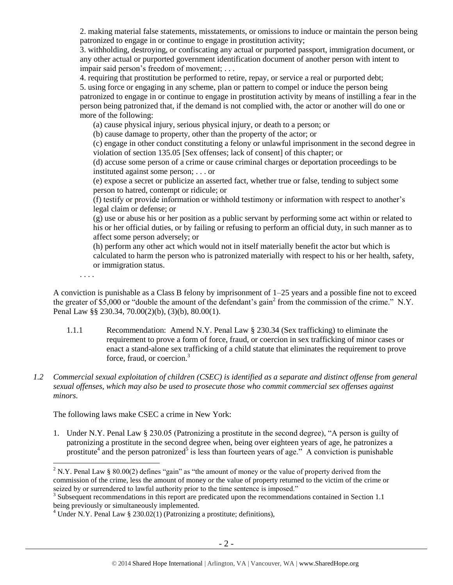2. making material false statements, misstatements, or omissions to induce or maintain the person being patronized to engage in or continue to engage in prostitution activity;

3. withholding, destroying, or confiscating any actual or purported passport, immigration document, or any other actual or purported government identification document of another person with intent to impair said person's freedom of movement; . . .

4. requiring that prostitution be performed to retire, repay, or service a real or purported debt; 5. using force or engaging in any scheme, plan or pattern to compel or induce the person being patronized to engage in or continue to engage in prostitution activity by means of instilling a fear in the person being patronized that, if the demand is not complied with, the actor or another will do one or more of the following:

(a) cause physical injury, serious physical injury, or death to a person; or

(b) cause damage to property, other than the property of the actor; or

(c) engage in other conduct constituting a felony or unlawful imprisonment in the second degree in violation of section 135.05 [Sex offenses; lack of consent] of this chapter; or

(d) accuse some person of a crime or cause criminal charges or deportation proceedings to be instituted against some person; . . . or

(e) expose a secret or publicize an asserted fact, whether true or false, tending to subject some person to hatred, contempt or ridicule; or

(f) testify or provide information or withhold testimony or information with respect to another's legal claim or defense; or

(g) use or abuse his or her position as a public servant by performing some act within or related to his or her official duties, or by failing or refusing to perform an official duty, in such manner as to affect some person adversely; or

(h) perform any other act which would not in itself materially benefit the actor but which is calculated to harm the person who is patronized materially with respect to his or her health, safety, or immigration status.

. . . .

 $\overline{a}$ 

A conviction is punishable as a Class B felony by imprisonment of 1–25 years and a possible fine not to exceed the greater of  $\overline{\$5,000\}$$  or "double the amount of the defendant's gain<sup>2</sup> from the commission of the crime." N.Y. Penal Law §§ 230.34, 70.00(2)(b), (3)(b), 80.00(1).

- 1.1.1 Recommendation: Amend N.Y. Penal Law § 230.34 (Sex trafficking) to eliminate the requirement to prove a form of force, fraud, or coercion in sex trafficking of minor cases or enact a stand-alone sex trafficking of a child statute that eliminates the requirement to prove force, fraud, or coercion.<sup>3</sup>
- *1.2 Commercial sexual exploitation of children (CSEC) is identified as a separate and distinct offense from general sexual offenses, which may also be used to prosecute those who commit commercial sex offenses against minors.*

The following laws make CSEC a crime in New York:

1. Under N.Y. Penal Law § 230.05 (Patronizing a prostitute in the second degree), "A person is guilty of patronizing a prostitute in the second degree when, being over eighteen years of age, he patronizes a prostitute<sup>4</sup> and the person patronized<sup>5</sup> is less than fourteen years of age." A conviction is punishable

<sup>&</sup>lt;sup>2</sup> N.Y. Penal Law § 80.00(2) defines "gain" as "the amount of money or the value of property derived from the commission of the crime, less the amount of money or the value of property returned to the victim of the crime or seized by or surrendered to lawful authority prior to the time sentence is imposed."

<sup>&</sup>lt;sup>3</sup> Subsequent recommendations in this report are predicated upon the recommendations contained in Section 1.1 being previously or simultaneously implemented.

<sup>&</sup>lt;sup>4</sup> Under N.Y. Penal Law § 230.02(1) (Patronizing a prostitute; definitions),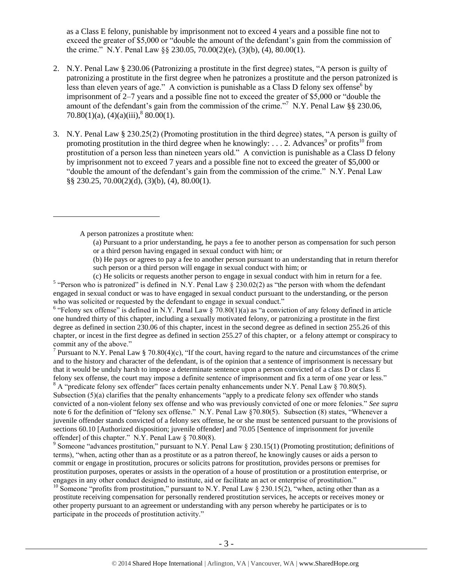<span id="page-2-0"></span>as a Class E felony, punishable by imprisonment not to exceed 4 years and a possible fine not to exceed the greater of \$5,000 or "double the amount of the defendant's gain from the commission of the crime." N.Y. Penal Law §§ 230.05, 70.00(2)(e), (3)(b), (4), 80.00(1).

- 2. N.Y. Penal Law § 230.06 (Patronizing a prostitute in the first degree) states, "A person is guilty of patronizing a prostitute in the first degree when he patronizes a prostitute and the person patronized is less than eleven years of age." A conviction is punishable as a Class D felony sex offense by imprisonment of 2–7 years and a possible fine not to exceed the greater of \$5,000 or "double the amount of the defendant's gain from the commission of the crime."<sup>7</sup> N.Y. Penal Law §§ 230.06, 70.80(1)(a),  $(4)(a)(iii)$ ,  $80.00(1)$ .
- 3. N.Y. Penal Law § 230.25(2) (Promoting prostitution in the third degree) states, "A person is guilty of promoting prostitution in the third degree when he knowingly: . . . 2. Advances<sup>9</sup> or profits<sup>10</sup> from prostitution of a person less than nineteen years old." A conviction is punishable as a Class D felony by imprisonment not to exceed 7 years and a possible fine not to exceed the greater of \$5,000 or "double the amount of the defendant's gain from the commission of the crime." N.Y. Penal Law §§ 230.25, 70.00(2)(d), (3)(b), (4), 80.00(1).

A person patronizes a prostitute when:

 $\overline{a}$ 

- <span id="page-2-2"></span><span id="page-2-1"></span>(a) Pursuant to a prior understanding, he pays a fee to another person as compensation for such person or a third person having engaged in sexual conduct with him; or
- (b) He pays or agrees to pay a fee to another person pursuant to an understanding that in return therefor such person or a third person will engage in sexual conduct with him; or
- (c) He solicits or requests another person to engage in sexual conduct with him in return for a fee.

<sup>5</sup> "Person who is patronized" is defined in N.Y. Penal Law  $\S$  230.02(2) as "the person with whom the defendant engaged in sexual conduct or was to have engaged in sexual conduct pursuant to the understanding, or the person who was solicited or requested by the defendant to engage in sexual conduct."

<sup>6</sup> "Felony sex offense" is defined in N.Y. Penal Law  $\S$  70.80(1)(a) as "a conviction of any felony defined in article one hundred thirty of this chapter, including a sexually motivated felony, or patronizing a prostitute in the first degree as defined in section 230.06 of this chapter, incest in the second degree as defined in section 255.26 of this chapter, or incest in the first degree as defined in section 255.27 of this chapter, or a felony attempt or conspiracy to commit any of the above."

<sup>7</sup> Pursuant to N.Y. Penal Law § 70.80(4)(c), "If the court, having regard to the nature and circumstances of the crime and to the history and character of the defendant, is of the opinion that a sentence of imprisonment is necessary but that it would be unduly harsh to impose a determinate sentence upon a person convicted of a class D or class E felony sex offense, the court may impose a definite sentence of imprisonment and fix a term of one year or less."

 $8 \text{ A}$  "predicate felony sex offender" faces certain penalty enhancements under N.Y. Penal Law § 70.80(5). Subsection (5)(a) clarifies that the penalty enhancements "apply to a predicate felony sex offender who stands convicted of a non-violent felony sex offense and who was previously convicted of one or more felonies." *See supra*  not[e 6](#page-2-0) for the definition of "felony sex offense." N.Y. Penal Law §70.80(5). Subsection (8) states, "Whenever a juvenile offender stands convicted of a felony sex offense, he or she must be sentenced pursuant to the provisions of sections 60.10 [Authorized disposition; juvenile offender] and 70.05 [Sentence of imprisonment for juvenile offender] of this chapter." N.Y. Penal Law § 70.80(8).

<sup>9</sup> Someone "advances prostitution," pursuant to N.Y. Penal Law § 230.15(1) (Promoting prostitution; definitions of terms), "when, acting other than as a prostitute or as a patron thereof, he knowingly causes or aids a person to commit or engage in prostitution, procures or solicits patrons for prostitution, provides persons or premises for prostitution purposes, operates or assists in the operation of a house of prostitution or a prostitution enterprise, or engages in any other conduct designed to institute, aid or facilitate an act or enterprise of prostitution."

<sup>10</sup> Someone "profits from prostitution," pursuant to N.Y. Penal Law § 230.15(2), "when, acting other than as a prostitute receiving compensation for personally rendered prostitution services, he accepts or receives money or other property pursuant to an agreement or understanding with any person whereby he participates or is to participate in the proceeds of prostitution activity."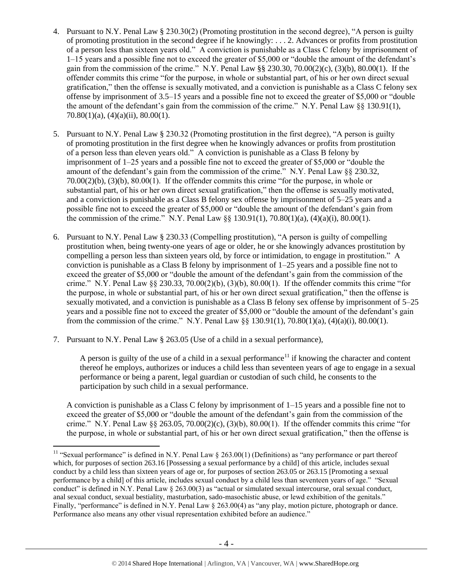- 4. Pursuant to N.Y. Penal Law § 230.30(2) (Promoting prostitution in the second degree), "A person is guilty of promoting prostitution in the second degree if he knowingly: . . . 2. Advances or profits from prostitution of a person less than sixteen years old." A conviction is punishable as a Class C felony by imprisonment of 1–15 years and a possible fine not to exceed the greater of \$5,000 or "double the amount of the defendant's gain from the commission of the crime." N.Y. Penal Law  $\S$ § 230.30, 70.00(2)(c), (3)(b), 80.00(1). If the offender commits this crime "for the purpose, in whole or substantial part, of his or her own direct sexual gratification," then the offense is sexually motivated, and a conviction is punishable as a Class C felony sex offense by imprisonment of 3.5–15 years and a possible fine not to exceed the greater of \$5,000 or "double the amount of the defendant's gain from the commission of the crime." N.Y. Penal Law §§ 130.91(1),  $70.80(1)(a)$ ,  $(4)(a)(ii)$ ,  $80.00(1)$ .
- 5. Pursuant to N.Y. Penal Law § 230.32 (Promoting prostitution in the first degree), "A person is guilty of promoting prostitution in the first degree when he knowingly advances or profits from prostitution of a person less than eleven years old." A conviction is punishable as a Class B felony by imprisonment of 1–25 years and a possible fine not to exceed the greater of \$5,000 or "double the amount of the defendant's gain from the commission of the crime." N.Y. Penal Law §§ 230.32, 70.00(2)(b), (3)(b), 80.00(1). If the offender commits this crime "for the purpose, in whole or substantial part, of his or her own direct sexual gratification," then the offense is sexually motivated, and a conviction is punishable as a Class B felony sex offense by imprisonment of 5–25 years and a possible fine not to exceed the greater of \$5,000 or "double the amount of the defendant's gain from the commission of the crime." N.Y. Penal Law §§ 130.91(1), 70.80(1)(a), (4)(a)(i), 80.00(1).
- 6. Pursuant to N.Y. Penal Law § 230.33 (Compelling prostitution), "A person is guilty of compelling prostitution when, being twenty-one years of age or older, he or she knowingly advances prostitution by compelling a person less than sixteen years old, by force or intimidation, to engage in prostitution." A conviction is punishable as a Class B felony by imprisonment of 1–25 years and a possible fine not to exceed the greater of \$5,000 or "double the amount of the defendant's gain from the commission of the crime." N.Y. Penal Law  $\S$  230.33, 70.00(2)(b), (3)(b), 80.00(1). If the offender commits this crime "for the purpose, in whole or substantial part, of his or her own direct sexual gratification," then the offense is sexually motivated, and a conviction is punishable as a Class B felony sex offense by imprisonment of 5–25 years and a possible fine not to exceed the greater of \$5,000 or "double the amount of the defendant's gain from the commission of the crime." N.Y. Penal Law §§ 130.91(1), 70.80(1)(a), (4)(a)(i), 80.00(1).
- 7. Pursuant to N.Y. Penal Law § 263.05 (Use of a child in a sexual performance),

<span id="page-3-0"></span>A person is guilty of the use of a child in a sexual performance<sup>11</sup> if knowing the character and content thereof he employs, authorizes or induces a child less than seventeen years of age to engage in a sexual performance or being a parent, legal guardian or custodian of such child, he consents to the participation by such child in a sexual performance.

A conviction is punishable as a Class C felony by imprisonment of 1–15 years and a possible fine not to exceed the greater of \$5,000 or "double the amount of the defendant's gain from the commission of the crime." N.Y. Penal Law  $\S$  263.05, 70.00(2)(c), (3)(b), 80.00(1). If the offender commits this crime "for the purpose, in whole or substantial part, of his or her own direct sexual gratification," then the offense is

 $\overline{a}$ <sup>11</sup> "Sexual performance" is defined in N.Y. Penal Law  $\S$  263.00(1) (Definitions) as "any performance or part thereof which, for purposes of section 263.16 [Possessing a sexual performance by a child] of this article, includes sexual conduct by a child less than sixteen years of age or, for purposes of section 263.05 or 263.15 [Promoting a sexual performance by a child] of this article, includes sexual conduct by a child less than seventeen years of age." "Sexual conduct" is defined in N.Y. Penal Law § 263.00(3) as "actual or simulated sexual intercourse, oral sexual conduct, anal sexual conduct, sexual bestiality, masturbation, sado-masochistic abuse, or lewd exhibition of the genitals." Finally, "performance" is defined in N.Y. Penal Law § 263.00(4) as "any play, motion picture, photograph or dance. Performance also means any other visual representation exhibited before an audience."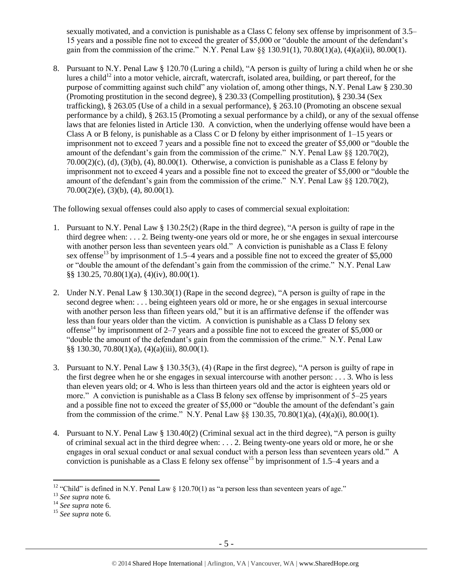sexually motivated, and a conviction is punishable as a Class C felony sex offense by imprisonment of 3.5– 15 years and a possible fine not to exceed the greater of \$5,000 or "double the amount of the defendant's gain from the commission of the crime." N.Y. Penal Law  $\S$  130.91(1), 70.80(1)(a), (4)(a)(ii), 80.00(1).

8. Pursuant to N.Y. Penal Law § 120.70 (Luring a child), "A person is guilty of luring a child when he or she lures a child<sup>12</sup> into a motor vehicle, aircraft, watercraft, isolated area, building, or part thereof, for the purpose of committing against such child" any violation of, among other things,  $\overline{N}$ . Penal Law § 230.30 (Promoting prostitution in the second degree), § 230.33 (Compelling prostitution), § 230.34 (Sex trafficking), § 263.05 (Use of a child in a sexual performance), § 263.10 (Promoting an obscene sexual performance by a child), § 263.15 (Promoting a sexual performance by a child), or any of the sexual offense laws that are felonies listed in Article 130. A conviction, when the underlying offense would have been a Class A or B felony, is punishable as a Class C or D felony by either imprisonment of 1–15 years or imprisonment not to exceed 7 years and a possible fine not to exceed the greater of \$5,000 or "double the amount of the defendant's gain from the commission of the crime." N.Y. Penal Law  $\S$ § 120.70(2),  $70.00(2)(c)$ , (d), (3)(b), (4), 80.00(1). Otherwise, a conviction is punishable as a Class E felony by imprisonment not to exceed 4 years and a possible fine not to exceed the greater of \$5,000 or "double the amount of the defendant's gain from the commission of the crime." N.Y. Penal Law §§ 120.70(2),  $70.00(2)(e)$ ,  $(3)(b)$ ,  $(4)$ ,  $80.00(1)$ .

The following sexual offenses could also apply to cases of commercial sexual exploitation:

- 1. Pursuant to N.Y. Penal Law § 130.25(2) (Rape in the third degree), "A person is guilty of rape in the third degree when: . . . 2. Being twenty-one years old or more, he or she engages in sexual intercourse with another person less than seventeen years old." A conviction is punishable as a Class E felony sex offense<sup>13</sup> by imprisonment of 1.5–4 years and a possible fine not to exceed the greater of \$5,000 or "double the amount of the defendant's gain from the commission of the crime." N.Y. Penal Law §§ 130.25, 70.80(1)(a), (4)(iv), 80.00(1).
- 2. Under N.Y. Penal Law § 130.30(1) (Rape in the second degree), "A person is guilty of rape in the second degree when: . . . being eighteen years old or more, he or she engages in sexual intercourse with another person less than fifteen years old," but it is an affirmative defense if the offender was less than four years older than the victim. A conviction is punishable as a Class D felony sex offense<sup>14</sup> by imprisonment of 2–7 years and a possible fine not to exceed the greater of \$5,000 or "double the amount of the defendant's gain from the commission of the crime." N.Y. Penal Law §§ 130.30, 70.80(1)(a), (4)(a)(iii), 80.00(1).
- 3. Pursuant to N.Y. Penal Law § 130.35(3), (4) (Rape in the first degree), "A person is guilty of rape in the first degree when he or she engages in sexual intercourse with another person: . . . 3. Who is less than eleven years old; or 4. Who is less than thirteen years old and the actor is eighteen years old or more." A conviction is punishable as a Class B felony sex offense by imprisonment of 5–25 years and a possible fine not to exceed the greater of \$5,000 or "double the amount of the defendant's gain from the commission of the crime." N.Y. Penal Law §§ 130.35, 70.80(1)(a), (4)(a)(i), 80.00(1).
- 4. Pursuant to N.Y. Penal Law § 130.40(2) (Criminal sexual act in the third degree), "A person is guilty of criminal sexual act in the third degree when: . . . 2. Being twenty-one years old or more, he or she engages in oral sexual conduct or anal sexual conduct with a person less than seventeen years old." A conviction is punishable as a Class E felony sex offense<sup>15</sup> by imprisonment of 1.5–4 years and a

<sup>&</sup>lt;sup>12</sup> "Child" is defined in N.Y. Penal Law § 120.70(1) as "a person less than seventeen years of age."

<sup>13</sup> *See supra* note [6](#page-2-0)*.*

<sup>14</sup> *See supra* note [6.](#page-2-0)

<sup>15</sup> *See supra* note [6.](#page-2-0)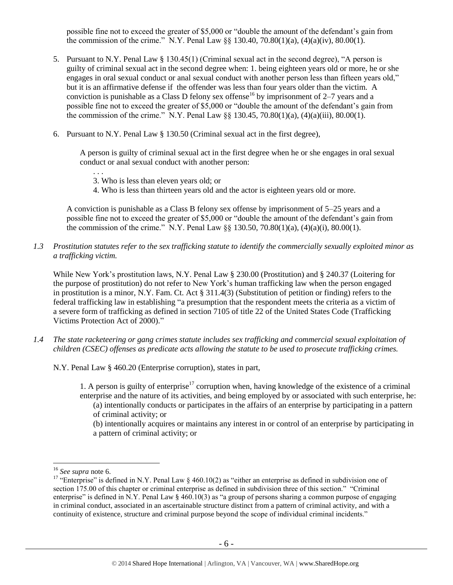possible fine not to exceed the greater of \$5,000 or "double the amount of the defendant's gain from the commission of the crime." N.Y. Penal Law  $\S$  130.40, 70.80(1)(a), (4)(a)(iv), 80.00(1).

- 5. Pursuant to N.Y. Penal Law § 130.45(1) (Criminal sexual act in the second degree), "A person is guilty of criminal sexual act in the second degree when: 1. being eighteen years old or more, he or she engages in oral sexual conduct or anal sexual conduct with another person less than fifteen years old," but it is an affirmative defense if the offender was less than four years older than the victim. A conviction is punishable as a Class D felony sex offense<sup>16</sup> by imprisonment of 2–7 years and a possible fine not to exceed the greater of \$5,000 or "double the amount of the defendant's gain from the commission of the crime." N.Y. Penal Law  $\S$  130.45, 70.80(1)(a), (4)(a)(iii), 80.00(1).
- 6. Pursuant to N.Y. Penal Law § 130.50 (Criminal sexual act in the first degree),

A person is guilty of criminal sexual act in the first degree when he or she engages in oral sexual conduct or anal sexual conduct with another person:

- . . . 3. Who is less than eleven years old; or
- 4. Who is less than thirteen years old and the actor is eighteen years old or more.

A conviction is punishable as a Class B felony sex offense by imprisonment of 5–25 years and a possible fine not to exceed the greater of \$5,000 or "double the amount of the defendant's gain from the commission of the crime." N.Y. Penal Law §§ 130.50, 70.80(1)(a), (4)(a)(i), 80.00(1).

*1.3 Prostitution statutes refer to the sex trafficking statute to identify the commercially sexually exploited minor as a trafficking victim.* 

While New York's prostitution laws, N.Y. Penal Law § 230.00 (Prostitution) and § 240.37 (Loitering for the purpose of prostitution) do not refer to New York's human trafficking law when the person engaged in prostitution is a minor, N.Y. Fam. Ct. Act § 311.4(3) (Substitution of petition or finding) refers to the federal trafficking law in establishing "a presumption that the respondent meets the criteria as a victim of a severe form of trafficking as defined in section 7105 of title 22 of the United States Code (Trafficking Victims Protection Act of 2000)."

- *1.4 The state racketeering or gang crimes statute includes sex trafficking and commercial sexual exploitation of children (CSEC) offenses as predicate acts allowing the statute to be used to prosecute trafficking crimes.* 
	- N.Y. Penal Law § 460.20 (Enterprise corruption), states in part,
		- 1. A person is guilty of enterprise<sup>17</sup> corruption when, having knowledge of the existence of a criminal enterprise and the nature of its activities, and being employed by or associated with such enterprise, he: (a) intentionally conducts or participates in the affairs of an enterprise by participating in a pattern of criminal activity; or
			- (b) intentionally acquires or maintains any interest in or control of an enterprise by participating in a pattern of criminal activity; or

<sup>16</sup> *See supra* note [6.](#page-2-0)

<sup>&</sup>lt;sup>17</sup> "Enterprise" is defined in N.Y. Penal Law § 460.10(2) as "either an enterprise as defined in subdivision one of section 175.00 of this chapter or criminal enterprise as defined in subdivision three of this section." "Criminal enterprise" is defined in N.Y. Penal Law § 460.10(3) as "a group of persons sharing a common purpose of engaging in criminal conduct, associated in an ascertainable structure distinct from a pattern of criminal activity, and with a continuity of existence, structure and criminal purpose beyond the scope of individual criminal incidents."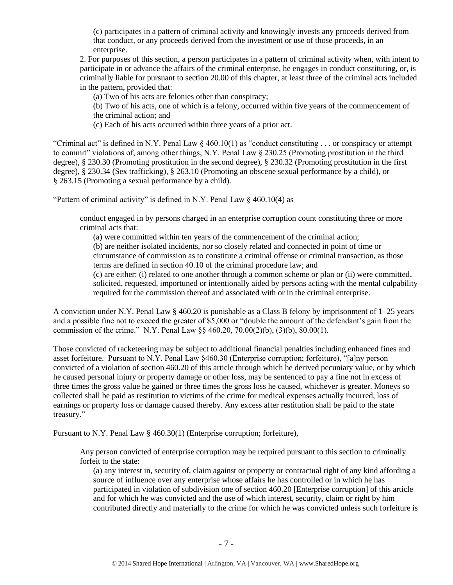(c) participates in a pattern of criminal activity and knowingly invests any proceeds derived from that conduct, or any proceeds derived from the investment or use of those proceeds, in an enterprise.

2. For purposes of this section, a person participates in a pattern of criminal activity when, with intent to participate in or advance the affairs of the criminal enterprise, he engages in conduct constituting, or, is criminally liable for pursuant to section 20.00 of this chapter, at least three of the criminal acts included in the pattern, provided that:

(a) Two of his acts are felonies other than conspiracy;

(b) Two of his acts, one of which is a felony, occurred within five years of the commencement of the criminal action; and

(c) Each of his acts occurred within three years of a prior act.

"Criminal act" is defined in N.Y. Penal Law  $\S$  460.10(1) as "conduct constituting . . . or conspiracy or attempt to commit" violations of, among other things, N.Y. Penal Law § 230.25 (Promoting prostitution in the third degree), § 230.30 (Promoting prostitution in the second degree), § 230.32 (Promoting prostitution in the first degree), § 230.34 (Sex trafficking), § 263.10 (Promoting an obscene sexual performance by a child), or § 263.15 (Promoting a sexual performance by a child).

"Pattern of criminal activity" is defined in N.Y. Penal Law  $\S$  460.10(4) as

conduct engaged in by persons charged in an enterprise corruption count constituting three or more criminal acts that:

(a) were committed within ten years of the commencement of the criminal action;

(b) are neither isolated incidents, nor so closely related and connected in point of time or circumstance of commission as to constitute a criminal offense or criminal transaction, as those terms are defined in section 40.10 of the criminal procedure law; and

(c) are either: (i) related to one another through a common scheme or plan or (ii) were committed, solicited, requested, importuned or intentionally aided by persons acting with the mental culpability required for the commission thereof and associated with or in the criminal enterprise.

A conviction under N.Y. Penal Law § 460.20 is punishable as a Class B felony by imprisonment of 1–25 years and a possible fine not to exceed the greater of \$5,000 or "double the amount of the defendant's gain from the commission of the crime." N.Y. Penal Law §§ 460.20, 70.00(2)(b), (3)(b), 80.00(1).

Those convicted of racketeering may be subject to additional financial penalties including enhanced fines and asset forfeiture. Pursuant to N.Y. Penal Law §460.30 (Enterprise corruption; forfeiture), "[a]ny person convicted of a violation of section 460.20 of this article through which he derived pecuniary value, or by which he caused personal injury or property damage or other loss, may be sentenced to pay a fine not in excess of three times the gross value he gained or three times the gross loss he caused, whichever is greater. Moneys so collected shall be paid as restitution to victims of the crime for medical expenses actually incurred, loss of earnings or property loss or damage caused thereby. Any excess after restitution shall be paid to the state treasury."

Pursuant to N.Y. Penal Law § 460.30(1) (Enterprise corruption; forfeiture),

Any person convicted of enterprise corruption may be required pursuant to this section to criminally forfeit to the state:

(a) any interest in, security of, claim against or property or contractual right of any kind affording a source of influence over any enterprise whose affairs he has controlled or in which he has participated in violation of subdivision one of section 460.20 [Enterprise corruption] of this article and for which he was convicted and the use of which interest, security, claim or right by him contributed directly and materially to the crime for which he was convicted unless such forfeiture is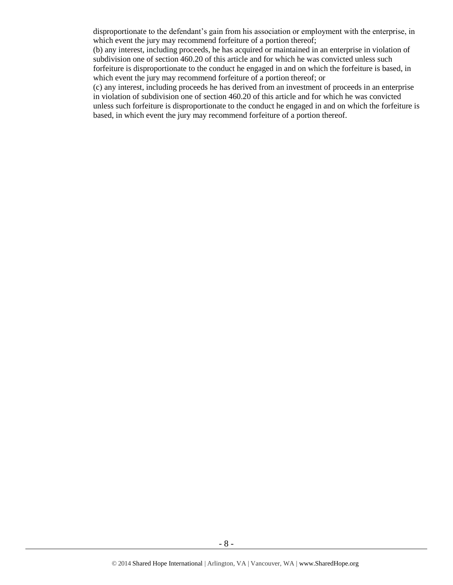disproportionate to the defendant's gain from his association or employment with the enterprise, in which event the jury may recommend forfeiture of a portion thereof;

(b) any interest, including proceeds, he has acquired or maintained in an enterprise in violation of subdivision one of section 460.20 of this article and for which he was convicted unless such forfeiture is disproportionate to the conduct he engaged in and on which the forfeiture is based, in which event the jury may recommend forfeiture of a portion thereof; or

(c) any interest, including proceeds he has derived from an investment of proceeds in an enterprise in violation of subdivision one of section 460.20 of this article and for which he was convicted unless such forfeiture is disproportionate to the conduct he engaged in and on which the forfeiture is based, in which event the jury may recommend forfeiture of a portion thereof.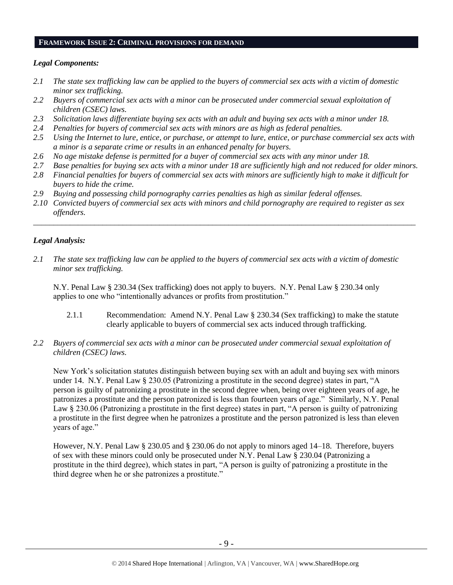#### **FRAMEWORK ISSUE 2: CRIMINAL PROVISIONS FOR DEMAND**

#### *Legal Components:*

- *2.1 The state sex trafficking law can be applied to the buyers of commercial sex acts with a victim of domestic minor sex trafficking.*
- *2.2 Buyers of commercial sex acts with a minor can be prosecuted under commercial sexual exploitation of children (CSEC) laws.*
- *2.3 Solicitation laws differentiate buying sex acts with an adult and buying sex acts with a minor under 18.*
- *2.4 Penalties for buyers of commercial sex acts with minors are as high as federal penalties.*
- *2.5 Using the Internet to lure, entice, or purchase, or attempt to lure, entice, or purchase commercial sex acts with a minor is a separate crime or results in an enhanced penalty for buyers.*
- *2.6 No age mistake defense is permitted for a buyer of commercial sex acts with any minor under 18.*
- *2.7 Base penalties for buying sex acts with a minor under 18 are sufficiently high and not reduced for older minors.*
- *2.8 Financial penalties for buyers of commercial sex acts with minors are sufficiently high to make it difficult for buyers to hide the crime.*
- *2.9 Buying and possessing child pornography carries penalties as high as similar federal offenses.*
- *2.10 Convicted buyers of commercial sex acts with minors and child pornography are required to register as sex offenders.*

\_\_\_\_\_\_\_\_\_\_\_\_\_\_\_\_\_\_\_\_\_\_\_\_\_\_\_\_\_\_\_\_\_\_\_\_\_\_\_\_\_\_\_\_\_\_\_\_\_\_\_\_\_\_\_\_\_\_\_\_\_\_\_\_\_\_\_\_\_\_\_\_\_\_\_\_\_\_\_\_\_\_\_\_\_\_\_\_\_\_\_\_\_\_

#### *Legal Analysis:*

*2.1 The state sex trafficking law can be applied to the buyers of commercial sex acts with a victim of domestic minor sex trafficking.*

N.Y. Penal Law § 230.34 (Sex trafficking) does not apply to buyers. N.Y. Penal Law § 230.34 only applies to one who "intentionally advances or profits from prostitution."

- 2.1.1 Recommendation: Amend N.Y. Penal Law § 230.34 (Sex trafficking) to make the statute clearly applicable to buyers of commercial sex acts induced through trafficking.
- *2.2 Buyers of commercial sex acts with a minor can be prosecuted under commercial sexual exploitation of children (CSEC) laws.*

New York's solicitation statutes distinguish between buying sex with an adult and buying sex with minors under 14. N.Y. Penal Law § 230.05 (Patronizing a prostitute in the second degree) states in part, "A person is guilty of patronizing a prostitute in the second degree when, being over eighteen years of age, he patronizes a prostitute and the person patronized is less than fourteen years of age." Similarly, N.Y. Penal Law § 230.06 (Patronizing a prostitute in the first degree) states in part, "A person is guilty of patronizing a prostitute in the first degree when he patronizes a prostitute and the person patronized is less than eleven years of age."

However, N.Y. Penal Law § 230.05 and § 230.06 do not apply to minors aged 14–18. Therefore, buyers of sex with these minors could only be prosecuted under N.Y. Penal Law § 230.04 (Patronizing a prostitute in the third degree), which states in part, "A person is guilty of patronizing a prostitute in the third degree when he or she patronizes a prostitute."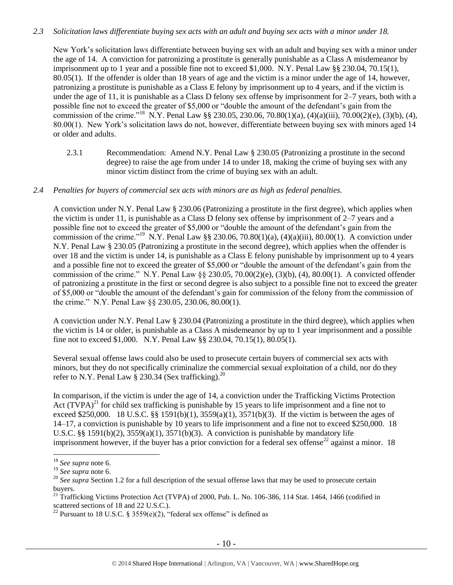## *2.3 Solicitation laws differentiate buying sex acts with an adult and buying sex acts with a minor under 18.*

New York's solicitation laws differentiate between buying sex with an adult and buying sex with a minor under the age of 14. A conviction for patronizing a prostitute is generally punishable as a Class A misdemeanor by imprisonment up to 1 year and a possible fine not to exceed \$1,000. N.Y. Penal Law §§ 230.04, 70.15(1), 80.05(1). If the offender is older than 18 years of age and the victim is a minor under the age of 14, however, patronizing a prostitute is punishable as a Class E felony by imprisonment up to 4 years, and if the victim is under the age of 11, it is punishable as a Class D felony sex offense by imprisonment for 2–7 years, both with a possible fine not to exceed the greater of \$5,000 or "double the amount of the defendant's gain from the commission of the crime."<sup>18</sup> N.Y. Penal Law §§ 230.05, 230.06, 70.80(1)(a), (4)(a)(iii), 70.00(2)(e), (3)(b), (4), 80.00(1). New York's solicitation laws do not, however, differentiate between buying sex with minors aged 14 or older and adults.

2.3.1 Recommendation: Amend N.Y. Penal Law § 230.05 (Patronizing a prostitute in the second degree) to raise the age from under 14 to under 18, making the crime of buying sex with any minor victim distinct from the crime of buying sex with an adult.

## *2.4 Penalties for buyers of commercial sex acts with minors are as high as federal penalties.*

A conviction under N.Y. Penal Law § 230.06 (Patronizing a prostitute in the first degree), which applies when the victim is under 11, is punishable as a Class D felony sex offense by imprisonment of 2–7 years and a possible fine not to exceed the greater of \$5,000 or "double the amount of the defendant's gain from the commission of the crime."<sup>19</sup> N.Y. Penal Law §§ 230.06, 70.80(1)(a), (4)(a)(iii), 80.00(1). A conviction under N.Y. Penal Law § 230.05 (Patronizing a prostitute in the second degree), which applies when the offender is over 18 and the victim is under 14, is punishable as a Class E felony punishable by imprisonment up to 4 years and a possible fine not to exceed the greater of \$5,000 or "double the amount of the defendant's gain from the commission of the crime." N.Y. Penal Law §§ 230.05, 70.00(2)(e), (3)(b), (4), 80.00(1). A convicted offender of patronizing a prostitute in the first or second degree is also subject to a possible fine not to exceed the greater of \$5,000 or "double the amount of the defendant's gain for commission of the felony from the commission of the crime." N.Y. Penal Law §§ 230.05, 230.06, 80.00(1).

A conviction under N.Y. Penal Law § 230.04 (Patronizing a prostitute in the third degree), which applies when the victim is 14 or older, is punishable as a Class A misdemeanor by up to 1 year imprisonment and a possible fine not to exceed \$1,000. N.Y. Penal Law §§ 230.04, 70.15(1), 80.05(1).

Several sexual offense laws could also be used to prosecute certain buyers of commercial sex acts with minors, but they do not specifically criminalize the commercial sexual exploitation of a child, nor do they refer to N.Y. Penal Law § 230.34 (Sex trafficking).<sup>20</sup>

<span id="page-9-0"></span>In comparison, if the victim is under the age of 14, a conviction under the Trafficking Victims Protection Act  $(TVPA)^{21}$  for child sex trafficking is punishable by 15 years to life imprisonment and a fine not to exceed \$250,000. 18 U.S.C.  $\S$  1591(b)(1), 3559(a)(1), 3571(b)(3). If the victim is between the ages of 14–17, a conviction is punishable by 10 years to life imprisonment and a fine not to exceed \$250,000. 18 U.S.C.  $\S$ § 1591(b)(2), 3559(a)(1), 3571(b)(3). A conviction is punishable by mandatory life imprisonment however, if the buyer has a prior conviction for a federal sex offense<sup>22</sup> against a minor. 18

<span id="page-9-1"></span><sup>18</sup> *See supra* note [6.](#page-2-0)

<sup>19</sup> *See supra* note [6.](#page-2-0)

<sup>&</sup>lt;sup>20</sup> See supra Section 1.2 for a full description of the sexual offense laws that may be used to prosecute certain buyers.

 $^{21}$  Trafficking Victims Protection Act (TVPA) of 2000, Pub. L. No. 106-386, 114 Stat. 1464, 1466 (codified in scattered sections of 18 and 22 U.S.C.).

<sup>&</sup>lt;sup>22</sup> Pursuant to 18 U.S.C. § 3559(e)(2), "federal sex offense" is defined as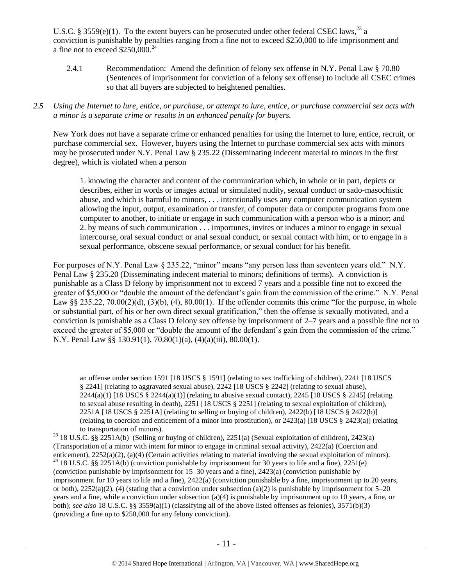U.S.C. § 3559(e)(1). To the extent buyers can be prosecuted under other federal CSEC laws,<sup>23</sup> a conviction is punishable by penalties ranging from a fine not to exceed \$250,000 to life imprisonment and a fine not to exceed  $$250,000.<sup>24</sup>$ 

- 2.4.1 Recommendation: Amend the definition of felony sex offense in N.Y. Penal Law § 70.80 (Sentences of imprisonment for conviction of a felony sex offense) to include all CSEC crimes so that all buyers are subjected to heightened penalties.
- *2.5 Using the Internet to lure, entice, or purchase, or attempt to lure, entice, or purchase commercial sex acts with a minor is a separate crime or results in an enhanced penalty for buyers.*

New York does not have a separate crime or enhanced penalties for using the Internet to lure, entice, recruit, or purchase commercial sex. However, buyers using the Internet to purchase commercial sex acts with minors may be prosecuted under N.Y. Penal Law § 235.22 (Disseminating indecent material to minors in the first degree), which is violated when a person

1. knowing the character and content of the communication which, in whole or in part, depicts or describes, either in words or images actual or simulated nudity, sexual conduct or sado-masochistic abuse, and which is harmful to minors, . . . intentionally uses any computer communication system allowing the input, output, examination or transfer, of computer data or computer programs from one computer to another, to initiate or engage in such communication with a person who is a minor; and 2. by means of such communication . . . importunes, invites or induces a minor to engage in sexual intercourse, oral sexual conduct or anal sexual conduct, or sexual contact with him, or to engage in a sexual performance, obscene sexual performance, or sexual conduct for his benefit.

For purposes of N.Y. Penal Law § 235.22, "minor" means "any person less than seventeen years old." N.Y. Penal Law § 235.20 (Disseminating indecent material to minors; definitions of terms). A conviction is punishable as a Class D felony by imprisonment not to exceed 7 years and a possible fine not to exceed the greater of \$5,000 or "double the amount of the defendant's gain from the commission of the crime." N.Y. Penal Law §§ 235.22,  $70.00(2)(d)$ ,  $(3)(b)$ ,  $(4)$ ,  $80.00(1)$ . If the offender commits this crime "for the purpose, in whole or substantial part, of his or her own direct sexual gratification," then the offense is sexually motivated, and a conviction is punishable as a Class D felony sex offense by imprisonment of 2–7 years and a possible fine not to exceed the greater of \$5,000 or "double the amount of the defendant's gain from the commission of the crime." N.Y. Penal Law §§ 130.91(1), 70.80(1)(a), (4)(a)(iii), 80.00(1).

an offense under section 1591 [18 USCS § 1591] (relating to sex trafficking of children), 2241 [18 USCS § 2241] (relating to aggravated sexual abuse), 2242 [18 USCS § 2242] (relating to sexual abuse),  $2244(a)(1)$  [18 USCS § 2244(a)(1)] (relating to abusive sexual contact), 2245 [18 USCS § 2245] (relating to sexual abuse resulting in death), 2251 [18 USCS § 2251] (relating to sexual exploitation of children), 2251A [18 USCS § 2251A] (relating to selling or buying of children), 2422(b) [18 USCS § 2422(b)] (relating to coercion and enticement of a minor into prostitution), or 2423(a) [18 USCS § 2423(a)] (relating to transportation of minors).

<sup>&</sup>lt;sup>23</sup> 18 U.S.C. §§ 2251A(b) (Selling or buying of children), 2251(a) (Sexual exploitation of children), 2423(a) (Transportation of a minor with intent for minor to engage in criminal sexual activity), 2422(a) (Coercion and enticement), 2252(a)(2), (a)(4) (Certain activities relating to material involving the sexual exploitation of minors). <sup>24</sup> 18 U.S.C. §§ 2251A(b) (conviction punishable by imprisonment for 30 years to life and a fine), 2251(e) (conviction punishable by imprisonment for 15–30 years and a fine), 2423(a) (conviction punishable by imprisonment for 10 years to life and a fine), 2422(a) (conviction punishable by a fine, imprisonment up to 20 years, or both),  $2252(a)(2)$ , (4) (stating that a conviction under subsection (a)(2) is punishable by imprisonment for 5–20 years and a fine, while a conviction under subsection (a)(4) is punishable by imprisonment up to 10 years, a fine, or both); *see also* 18 U.S.C. §§ 3559(a)(1) (classifying all of the above listed offenses as felonies), 3571(b)(3) (providing a fine up to \$250,000 for any felony conviction).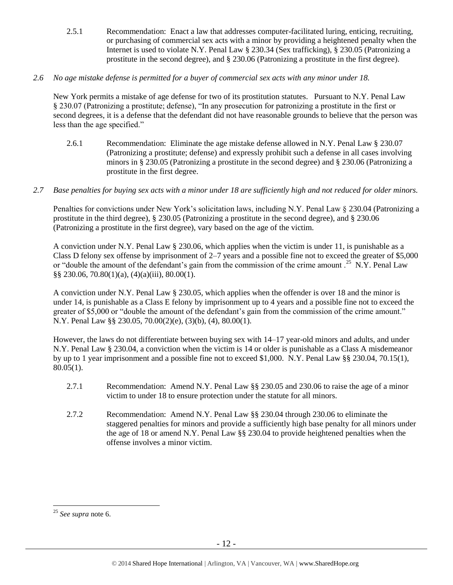2.5.1 Recommendation: Enact a law that addresses computer-facilitated luring, enticing, recruiting, or purchasing of commercial sex acts with a minor by providing a heightened penalty when the Internet is used to violate N.Y. Penal Law § 230.34 (Sex trafficking), § 230.05 (Patronizing a prostitute in the second degree), and § 230.06 (Patronizing a prostitute in the first degree).

# *2.6 No age mistake defense is permitted for a buyer of commercial sex acts with any minor under 18.*

New York permits a mistake of age defense for two of its prostitution statutes. Pursuant to N.Y. Penal Law § 230.07 (Patronizing a prostitute; defense), "In any prosecution for patronizing a prostitute in the first or second degrees, it is a defense that the defendant did not have reasonable grounds to believe that the person was less than the age specified."

- 2.6.1 Recommendation: Eliminate the age mistake defense allowed in N.Y. Penal Law § 230.07 (Patronizing a prostitute; defense) and expressly prohibit such a defense in all cases involving minors in § 230.05 (Patronizing a prostitute in the second degree) and § 230.06 (Patronizing a prostitute in the first degree.
- *2.7 Base penalties for buying sex acts with a minor under 18 are sufficiently high and not reduced for older minors.*

Penalties for convictions under New York's solicitation laws, including N.Y. Penal Law § 230.04 (Patronizing a prostitute in the third degree), § 230.05 (Patronizing a prostitute in the second degree), and § 230.06 (Patronizing a prostitute in the first degree), vary based on the age of the victim.

A conviction under N.Y. Penal Law § 230.06, which applies when the victim is under 11, is punishable as a Class D felony sex offense by imprisonment of 2–7 years and a possible fine not to exceed the greater of \$5,000 or "double the amount of the defendant's gain from the commission of the crime amount .<sup>25</sup> N.Y. Penal Law §§ 230.06, 70.80(1)(a), (4)(a)(iii), 80.00(1).

A conviction under N.Y. Penal Law § 230.05, which applies when the offender is over 18 and the minor is under 14, is punishable as a Class E felony by imprisonment up to 4 years and a possible fine not to exceed the greater of \$5,000 or "double the amount of the defendant's gain from the commission of the crime amount." N.Y. Penal Law §§ 230.05, 70.00(2)(e), (3)(b), (4), 80.00(1).

However, the laws do not differentiate between buying sex with 14–17 year-old minors and adults, and under N.Y. Penal Law § 230.04, a conviction when the victim is 14 or older is punishable as a Class A misdemeanor by up to 1 year imprisonment and a possible fine not to exceed \$1,000. N.Y. Penal Law §§ 230.04, 70.15(1),  $80.05(1)$ .

- 2.7.1 Recommendation: Amend N.Y. Penal Law §§ 230.05 and 230.06 to raise the age of a minor victim to under 18 to ensure protection under the statute for all minors.
- 2.7.2 Recommendation: Amend N.Y. Penal Law §§ 230.04 through 230.06 to eliminate the staggered penalties for minors and provide a sufficiently high base penalty for all minors under the age of 18 or amend N.Y. Penal Law §§ 230.04 to provide heightened penalties when the offense involves a minor victim.

 $\overline{a}$ <sup>25</sup> *See supra* note [6.](#page-2-0)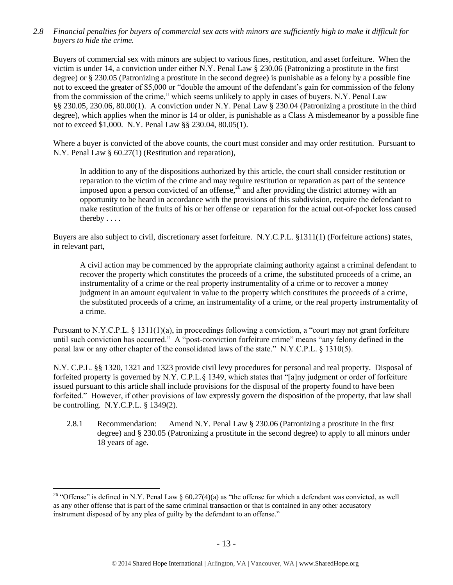*2.8 Financial penalties for buyers of commercial sex acts with minors are sufficiently high to make it difficult for buyers to hide the crime.* 

Buyers of commercial sex with minors are subject to various fines, restitution, and asset forfeiture. When the victim is under 14, a conviction under either N.Y. Penal Law § 230.06 (Patronizing a prostitute in the first degree) or § 230.05 (Patronizing a prostitute in the second degree) is punishable as a felony by a possible fine not to exceed the greater of \$5,000 or "double the amount of the defendant's gain for commission of the felony from the commission of the crime," which seems unlikely to apply in cases of buyers. N.Y. Penal Law §§ 230.05, 230.06, 80.00(1). A conviction under N.Y. Penal Law § 230.04 (Patronizing a prostitute in the third degree), which applies when the minor is 14 or older, is punishable as a Class A misdemeanor by a possible fine not to exceed \$1,000. N.Y. Penal Law §§ 230.04, 80.05(1).

Where a buyer is convicted of the above counts, the court must consider and may order restitution. Pursuant to N.Y. Penal Law § 60.27(1) (Restitution and reparation),

In addition to any of the dispositions authorized by this article, the court shall consider restitution or reparation to the victim of the crime and may require restitution or reparation as part of the sentence imposed upon a person convicted of an offense,  $26$  and after providing the district attorney with an opportunity to be heard in accordance with the provisions of this subdivision, require the defendant to make restitution of the fruits of his or her offense or reparation for the actual out-of-pocket loss caused thereby . . . .

Buyers are also subject to civil, discretionary asset forfeiture. N.Y.C.P.L. §1311(1) (Forfeiture actions) states, in relevant part,

A civil action may be commenced by the appropriate claiming authority against a criminal defendant to recover the property which constitutes the proceeds of a crime, the substituted proceeds of a crime, an instrumentality of a crime or the real property instrumentality of a crime or to recover a money judgment in an amount equivalent in value to the property which constitutes the proceeds of a crime, the substituted proceeds of a crime, an instrumentality of a crime, or the real property instrumentality of a crime.

Pursuant to N.Y.C.P.L. § 1311(1)(a), in proceedings following a conviction, a "court may not grant forfeiture until such conviction has occurred." A "post-conviction forfeiture crime" means "any felony defined in the penal law or any other chapter of the consolidated laws of the state." N.Y.C.P.L. § 1310(5).

N.Y. C.P.L. §§ 1320, 1321 and 1323 provide civil levy procedures for personal and real property. Disposal of forfeited property is governed by N.Y. C.P.L.§ 1349, which states that "[a]ny judgment or order of forfeiture issued pursuant to this article shall include provisions for the disposal of the property found to have been forfeited." However, if other provisions of law expressly govern the disposition of the property, that law shall be controlling. N.Y.C.P.L. § 1349(2).

2.8.1 Recommendation: Amend N.Y. Penal Law § 230.06 (Patronizing a prostitute in the first degree) and § 230.05 (Patronizing a prostitute in the second degree) to apply to all minors under 18 years of age.

<sup>&</sup>lt;sup>26</sup> "Offense" is defined in N.Y. Penal Law §  $60.27(4)(a)$  as "the offense for which a defendant was convicted, as well as any other offense that is part of the same criminal transaction or that is contained in any other accusatory instrument disposed of by any plea of guilty by the defendant to an offense."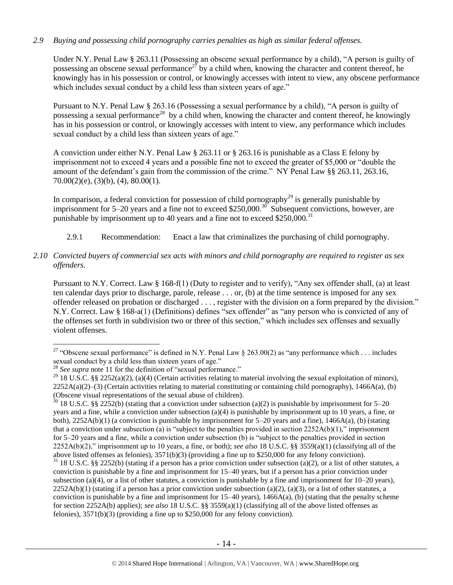## *2.9 Buying and possessing child pornography carries penalties as high as similar federal offenses.*

<span id="page-13-0"></span>Under N.Y. Penal Law § 263.11 (Possessing an obscene sexual performance by a child), "A person is guilty of possessing an obscene sexual performance<sup>27</sup> by a child when, knowing the character and content thereof, he knowingly has in his possession or control, or knowingly accesses with intent to view, any obscene performance which includes sexual conduct by a child less than sixteen years of age."

Pursuant to N.Y. Penal Law § 263.16 (Possessing a sexual performance by a child), "A person is guilty of possessing a sexual performance<sup>28</sup> by a child when, knowing the character and content thereof, he knowingly has in his possession or control, or knowingly accesses with intent to view, any performance which includes sexual conduct by a child less than sixteen years of age."

A conviction under either N.Y. Penal Law § 263.11 or § 263.16 is punishable as a Class E felony by imprisonment not to exceed 4 years and a possible fine not to exceed the greater of \$5,000 or "double the amount of the defendant's gain from the commission of the crime." NY Penal Law §§ 263.11, 263.16,  $70.00(2)(e)$ ,  $(3)(b)$ ,  $(4)$ ,  $80.00(1)$ .

In comparison, a federal conviction for possession of child pornography<sup>29</sup> is generally punishable by imprisonment for 5–20 years and a fine not to exceed \$250,000.<sup>30</sup> Subsequent convictions, however, are punishable by imprisonment up to 40 years and a fine not to exceed  $$250,000.<sup>31</sup>$ 

## 2.9.1 Recommendation: Enact a law that criminalizes the purchasing of child pornography.

## *2.10 Convicted buyers of commercial sex acts with minors and child pornography are required to register as sex offenders.*

Pursuant to N.Y. Correct. Law § 168-f(1) (Duty to register and to verify), "Any sex offender shall, (a) at least ten calendar days prior to discharge, parole, release . . . or, (b) at the time sentence is imposed for any sex offender released on probation or discharged . . . , register with the division on a form prepared by the division." N.Y. Correct. Law § 168-a(1) (Definitions) defines "sex offender" as "any person who is convicted of any of the offenses set forth in subdivision two or three of this section," which includes sex offenses and sexually violent offenses.

<sup>&</sup>lt;sup>27</sup> "Obscene sexual performance" is defined in N.Y. Penal Law § 263.00(2) as "any performance which . . . includes sexual conduct by a child less than sixteen years of age."

<sup>&</sup>lt;sup>28</sup> *See supra* note [11](#page-3-0) for the definition of "sexual performance."

<sup>&</sup>lt;sup>29</sup> 18 U.S.C. §§ 2252(a)(2), (a)(4) (Certain activities relating to material involving the sexual exploitation of minors),  $2252A(a)(2)$ –(3) (Certain activities relating to material constituting or containing child pornography), 1466A(a), (b) (Obscene visual representations of the sexual abuse of children).

 $30$  18 U.S.C. §§ 2252(b) (stating that a conviction under subsection (a)(2) is punishable by imprisonment for 5–20 years and a fine, while a conviction under subsection (a)(4) is punishable by imprisonment up to 10 years, a fine, or both),  $2252A(b)(1)$  (a conviction is punishable by imprisonment for  $5-20$  years and a fine),  $1466A(a)$ , (b) (stating that a conviction under subsection (a) is "subject to the penalties provided in section  $2252A(b)(1)$ ," imprisonment for 5–20 years and a fine, while a conviction under subsection (b) is "subject to the penalties provided in section 2252A(b)(2)," imprisonment up to 10 years, a fine, or both); *see also* 18 U.S.C. §§ 3559(a)(1) (classifying all of the above listed offenses as felonies), 3571(b)(3) (providing a fine up to \$250,000 for any felony conviction).

 $31$  18 U.S.C. §§ 2252(b) (stating if a person has a prior conviction under subsection (a)(2), or a list of other statutes, a conviction is punishable by a fine and imprisonment for 15–40 years, but if a person has a prior conviction under subsection (a)(4), or a list of other statutes, a conviction is punishable by a fine and imprisonment for  $10-20$  years),  $2252A(b)(1)$  (stating if a person has a prior conviction under subsection (a)(2), (a)(3), or a list of other statutes, a conviction is punishable by a fine and imprisonment for  $15-40$  years),  $1466A(a)$ , (b) (stating that the penalty scheme for section 2252A(b) applies); *see also* 18 U.S.C. §§ 3559(a)(1) (classifying all of the above listed offenses as felonies), 3571(b)(3) (providing a fine up to \$250,000 for any felony conviction).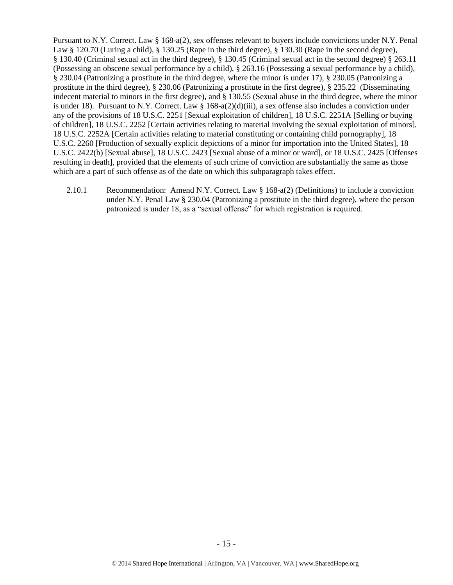Pursuant to N.Y. Correct. Law § 168-a(2), sex offenses relevant to buyers include convictions under N.Y. Penal Law § 120.70 (Luring a child), § 130.25 (Rape in the third degree), § 130.30 (Rape in the second degree), § 130.40 (Criminal sexual act in the third degree), § 130.45 (Criminal sexual act in the second degree) § 263.11 (Possessing an obscene sexual performance by a child), § 263.16 (Possessing a sexual performance by a child), § 230.04 (Patronizing a prostitute in the third degree, where the minor is under 17), § 230.05 (Patronizing a prostitute in the third degree), § 230.06 (Patronizing a prostitute in the first degree), § 235.22 (Disseminating indecent material to minors in the first degree), and § 130.55 (Sexual abuse in the third degree, where the minor is under 18). Pursuant to N.Y. Correct. Law § 168-a(2)(d)(iii), a sex offense also includes a conviction under any of the provisions of 18 U.S.C. 2251 [Sexual exploitation of children], 18 U.S.C. 2251A [Selling or buying of children], 18 U.S.C. 2252 [Certain activities relating to material involving the sexual exploitation of minors], 18 U.S.C. 2252A [Certain activities relating to material constituting or containing child pornography], 18 U.S.C. 2260 [Production of sexually explicit depictions of a minor for importation into the United States], 18 U.S.C. 2422(b) [Sexual abuse], 18 U.S.C. 2423 [Sexual abuse of a minor or ward], or 18 U.S.C. 2425 [Offenses resulting in death], provided that the elements of such crime of conviction are substantially the same as those which are a part of such offense as of the date on which this subparagraph takes effect.

2.10.1 Recommendation: Amend N.Y. Correct. Law § 168-a(2) (Definitions) to include a conviction under N.Y. Penal Law § 230.04 (Patronizing a prostitute in the third degree), where the person patronized is under 18, as a "sexual offense" for which registration is required.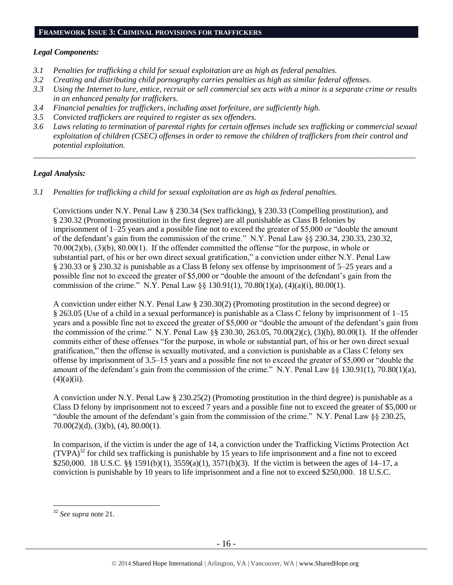## *Legal Components:*

- *3.1 Penalties for trafficking a child for sexual exploitation are as high as federal penalties.*
- *3.2 Creating and distributing child pornography carries penalties as high as similar federal offenses.*
- *3.3 Using the Internet to lure, entice, recruit or sell commercial sex acts with a minor is a separate crime or results in an enhanced penalty for traffickers.*
- *3.4 Financial penalties for traffickers, including asset forfeiture, are sufficiently high.*
- *3.5 Convicted traffickers are required to register as sex offenders.*
- *3.6 Laws relating to termination of parental rights for certain offenses include sex trafficking or commercial sexual exploitation of children (CSEC) offenses in order to remove the children of traffickers from their control and potential exploitation.*

*\_\_\_\_\_\_\_\_\_\_\_\_\_\_\_\_\_\_\_\_\_\_\_\_\_\_\_\_\_\_\_\_\_\_\_\_\_\_\_\_\_\_\_\_\_\_\_\_\_\_\_\_\_\_\_\_\_\_\_\_\_\_\_\_\_\_\_\_\_\_\_\_\_\_\_\_\_\_\_\_\_\_\_\_\_\_\_\_\_\_\_\_\_\_*

## *Legal Analysis:*

*3.1 Penalties for trafficking a child for sexual exploitation are as high as federal penalties.* 

Convictions under N.Y. Penal Law § 230.34 (Sex trafficking), § 230.33 (Compelling prostitution), and § 230.32 (Promoting prostitution in the first degree) are all punishable as Class B felonies by imprisonment of 1–25 years and a possible fine not to exceed the greater of \$5,000 or "double the amount of the defendant's gain from the commission of the crime." N.Y. Penal Law §§ 230.34, 230.33, 230.32, 70.00(2)(b), (3)(b), 80.00(1). If the offender committed the offense "for the purpose, in whole or substantial part, of his or her own direct sexual gratification," a conviction under either N.Y. Penal Law § 230.33 or § 230.32 is punishable as a Class B felony sex offense by imprisonment of 5–25 years and a possible fine not to exceed the greater of \$5,000 or "double the amount of the defendant's gain from the commission of the crime." N.Y. Penal Law §§ 130.91(1), 70.80(1)(a), (4)(a)(i), 80.00(1).

A conviction under either N.Y. Penal Law § 230.30(2) (Promoting prostitution in the second degree) or § 263.05 (Use of a child in a sexual performance) is punishable as a Class C felony by imprisonment of 1–15 years and a possible fine not to exceed the greater of \$5,000 or "double the amount of the defendant's gain from the commission of the crime." N.Y. Penal Law §§ 230.30, 263.05, 70.00(2)(c), (3)(b), 80.00(1). If the offender commits either of these offenses "for the purpose, in whole or substantial part, of his or her own direct sexual gratification," then the offense is sexually motivated, and a conviction is punishable as a Class C felony sex offense by imprisonment of 3.5–15 years and a possible fine not to exceed the greater of \$5,000 or "double the amount of the defendant's gain from the commission of the crime." N.Y. Penal Law §§ 130.91(1), 70.80(1)(a),  $(4)(a)(ii)$ .

A conviction under N.Y. Penal Law § 230.25(2) (Promoting prostitution in the third degree) is punishable as a Class D felony by imprisonment not to exceed 7 years and a possible fine not to exceed the greater of \$5,000 or "double the amount of the defendant's gain from the commission of the crime." N.Y. Penal Law §§ 230.25,  $70.00(2)(d)$ ,  $(3)(b)$ ,  $(4)$ ,  $80.00(1)$ .

In comparison, if the victim is under the age of 14, a conviction under the Trafficking Victims Protection Act  $(TVPA)^{32}$  for child sex trafficking is punishable by 15 years to life imprisonment and a fine not to exceed \$250,000. 18 U.S.C. §§ 1591(b)(1), 3559(a)(1), 3571(b)(3). If the victim is between the ages of 14–17, a conviction is punishable by 10 years to life imprisonment and a fine not to exceed \$250,000. 18 U.S.C.

<sup>32</sup> *See supra* note [21.](#page-9-0)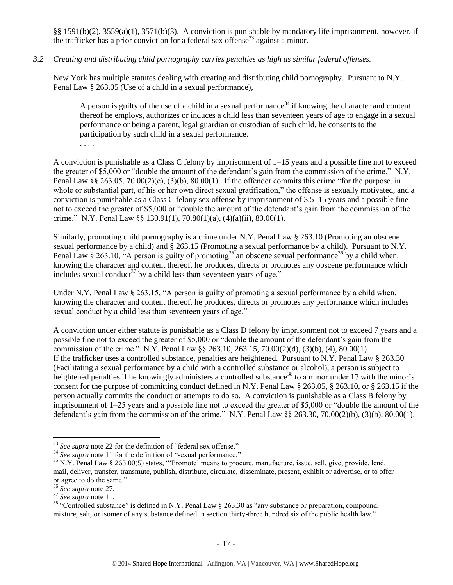§§ 1591(b)(2), 3559(a)(1), 3571(b)(3). A conviction is punishable by mandatory life imprisonment, however, if the trafficker has a prior conviction for a federal sex offense<sup>33</sup> against a minor.

## *3.2 Creating and distributing child pornography carries penalties as high as similar federal offenses.*

New York has multiple statutes dealing with creating and distributing child pornography. Pursuant to N.Y. Penal Law § 263.05 (Use of a child in a sexual performance),

A person is guilty of the use of a child in a sexual performance<sup>34</sup> if knowing the character and content thereof he employs, authorizes or induces a child less than seventeen years of age to engage in a sexual performance or being a parent, legal guardian or custodian of such child, he consents to the participation by such child in a sexual performance.

A conviction is punishable as a Class C felony by imprisonment of  $1-15$  years and a possible fine not to exceed the greater of \$5,000 or "double the amount of the defendant's gain from the commission of the crime." N.Y. Penal Law §§ 263.05, 70.00(2)(c), (3)(b), 80.00(1). If the offender commits this crime "for the purpose, in whole or substantial part, of his or her own direct sexual gratification," the offense is sexually motivated, and a conviction is punishable as a Class C felony sex offense by imprisonment of 3.5–15 years and a possible fine not to exceed the greater of \$5,000 or "double the amount of the defendant's gain from the commission of the crime." N.Y. Penal Law §§ 130.91(1), 70.80(1)(a), (4)(a)(ii), 80.00(1).

<span id="page-16-0"></span>Similarly, promoting child pornography is a crime under N.Y. Penal Law § 263.10 (Promoting an obscene sexual performance by a child) and § 263.15 (Promoting a sexual performance by a child). Pursuant to N.Y. Penal Law § 263.10, "A person is guilty of promoting<sup>35</sup> an obscene sexual performance<sup>36</sup> by a child when, knowing the character and content thereof, he produces, directs or promotes any obscene performance which includes sexual conduct<sup>37</sup> by a child less than seventeen years of age."

Under N.Y. Penal Law § 263.15, "A person is guilty of promoting a sexual performance by a child when, knowing the character and content thereof, he produces, directs or promotes any performance which includes sexual conduct by a child less than seventeen years of age."

A conviction under either statute is punishable as a Class D felony by imprisonment not to exceed 7 years and a possible fine not to exceed the greater of \$5,000 or "double the amount of the defendant's gain from the commission of the crime." N.Y. Penal Law §§ 263.10, 263.15, 70.00(2)(d), (3)(b), (4), 80.00(1) If the trafficker uses a controlled substance, penalties are heightened. Pursuant to N.Y. Penal Law § 263.30 (Facilitating a sexual performance by a child with a controlled substance or alcohol), a person is subject to heightened penalties if he knowingly administers a controlled substance<sup>38</sup> to a minor under 17 with the minor's consent for the purpose of committing conduct defined in N.Y. Penal Law § 263.05, § 263.10, or § 263.15 if the person actually commits the conduct or attempts to do so. A conviction is punishable as a Class B felony by imprisonment of 1–25 years and a possible fine not to exceed the greater of \$5,000 or "double the amount of the defendant's gain from the commission of the crime." N.Y. Penal Law §§ 263.30, 70.00(2)(b), (3)(b), 80.00(1).

 $\overline{a}$ 

. . . .

<sup>33</sup> *See supra* note [22](#page-9-1) for the definition of "federal sex offense."

<sup>&</sup>lt;sup>34</sup> See supra note [11](#page-3-0) for the definition of "sexual performance."

 $35$  N.Y. Penal Law § 263.00(5) states, "Promote' means to procure, manufacture, issue, sell, give, provide, lend, mail, deliver, transfer, transmute, publish, distribute, circulate, disseminate, present, exhibit or advertise, or to offer or agree to do the same."

<sup>36</sup> *See supra* note [27.](#page-13-0)

<sup>37</sup> *See supra* note [11.](#page-3-0)

<sup>&</sup>lt;sup>38</sup> "Controlled substance" is defined in N.Y. Penal Law § 263.30 as "any substance or preparation, compound, mixture, salt, or isomer of any substance defined in section thirty-three hundred six of the public health law."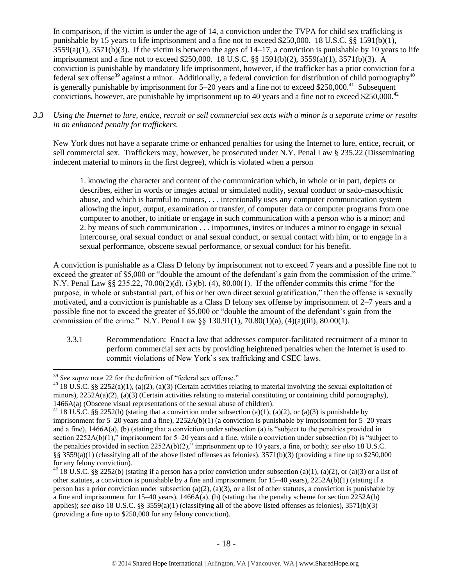In comparison, if the victim is under the age of 14, a conviction under the TVPA for child sex trafficking is punishable by 15 years to life imprisonment and a fine not to exceed \$250,000. 18 U.S.C. §§ 1591(b)(1),  $3559(a)(1)$ ,  $3571(b)(3)$ . If the victim is between the ages of  $14-17$ , a conviction is punishable by 10 years to life imprisonment and a fine not to exceed \$250,000. 18 U.S.C. §§ 1591(b)(2), 3559(a)(1), 3571(b)(3). A conviction is punishable by mandatory life imprisonment, however, if the trafficker has a prior conviction for a federal sex offense<sup>39</sup> against a minor. Additionally, a federal conviction for distribution of child pornography<sup>40</sup> is generally punishable by imprisonment for  $5-20$  years and a fine not to exceed \$250,000.<sup>41</sup> Subsequent convictions, however, are punishable by imprisonment up to 40 years and a fine not to exceed \$250,000.<sup>42</sup>

*3.3 Using the Internet to lure, entice, recruit or sell commercial sex acts with a minor is a separate crime or results in an enhanced penalty for traffickers.*

New York does not have a separate crime or enhanced penalties for using the Internet to lure, entice, recruit, or sell commercial sex. Traffickers may, however, be prosecuted under N.Y. Penal Law § 235.22 (Disseminating indecent material to minors in the first degree), which is violated when a person

1. knowing the character and content of the communication which, in whole or in part, depicts or describes, either in words or images actual or simulated nudity, sexual conduct or sado-masochistic abuse, and which is harmful to minors, . . . intentionally uses any computer communication system allowing the input, output, examination or transfer, of computer data or computer programs from one computer to another, to initiate or engage in such communication with a person who is a minor; and 2. by means of such communication . . . importunes, invites or induces a minor to engage in sexual intercourse, oral sexual conduct or anal sexual conduct, or sexual contact with him, or to engage in a sexual performance, obscene sexual performance, or sexual conduct for his benefit.

A conviction is punishable as a Class D felony by imprisonment not to exceed 7 years and a possible fine not to exceed the greater of \$5,000 or "double the amount of the defendant's gain from the commission of the crime." N.Y. Penal Law §§ 235.22, 70.00(2)(d), (3)(b), (4), 80.00(1). If the offender commits this crime "for the purpose, in whole or substantial part, of his or her own direct sexual gratification," then the offense is sexually motivated, and a conviction is punishable as a Class D felony sex offense by imprisonment of 2–7 years and a possible fine not to exceed the greater of \$5,000 or "double the amount of the defendant's gain from the commission of the crime." N.Y. Penal Law §§ 130.91(1), 70.80(1)(a), (4)(a)(iii), 80.00(1).

3.3.1 Recommendation: Enact a law that addresses computer-facilitated recruitment of a minor to perform commercial sex acts by providing heightened penalties when the Internet is used to commit violations of New York's sex trafficking and CSEC laws.

<sup>39</sup> *See supra* note [22](#page-9-1) for the definition of "federal sex offense."

<sup>&</sup>lt;sup>40</sup> 18 U.S.C. §§ 2252(a)(1), (a)(2), (a)(3) (Certain activities relating to material involving the sexual exploitation of minors), 2252A(a)(2), (a)(3) (Certain activities relating to material constituting or containing child pornography), 1466A(a) (Obscene visual representations of the sexual abuse of children).

<sup>&</sup>lt;sup>41</sup> 18 U.S.C. §§ 2252(b) (stating that a conviction under subsection (a)(1), (a)(2), or (a)(3) is punishable by imprisonment for 5–20 years and a fine), 2252A(b)(1) (a conviction is punishable by imprisonment for 5–20 years and a fine), 1466A(a), (b) (stating that a conviction under subsection (a) is "subject to the penalties provided in section 2252A(b)(1)," imprisonment for 5–20 years and a fine, while a conviction under subsection (b) is "subject to the penalties provided in section 2252A(b)(2)," imprisonment up to 10 years, a fine, or both); *see also* 18 U.S.C. §§ 3559(a)(1) (classifying all of the above listed offenses as felonies),  $3571(b)(3)$  (providing a fine up to \$250,000 for any felony conviction).

<sup>&</sup>lt;sup>42</sup> 18 U.S.C. §§ 2252(b) (stating if a person has a prior conviction under subsection (a)(1), (a)(2), or (a)(3) or a list of other statutes, a conviction is punishable by a fine and imprisonment for 15–40 years), 2252A(b)(1) (stating if a person has a prior conviction under subsection (a)(2), (a)(3), or a list of other statutes, a conviction is punishable by a fine and imprisonment for  $15-40$  years),  $1466A(a)$ , (b) (stating that the penalty scheme for section  $2252A(b)$ applies); *see also* 18 U.S.C. §§ 3559(a)(1) (classifying all of the above listed offenses as felonies), 3571(b)(3) (providing a fine up to \$250,000 for any felony conviction).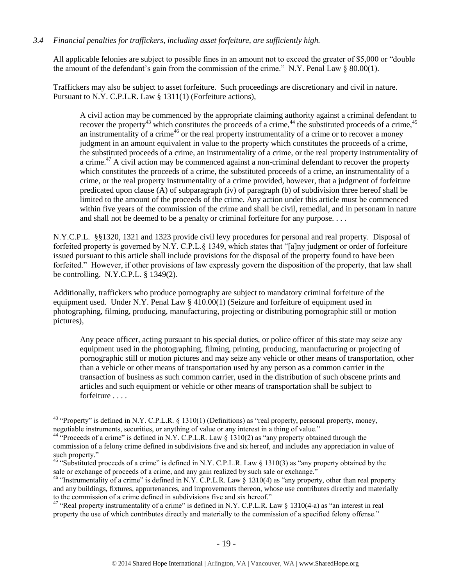## *3.4 Financial penalties for traffickers, including asset forfeiture, are sufficiently high.*

All applicable felonies are subject to possible fines in an amount not to exceed the greater of \$5,000 or "double the amount of the defendant's gain from the commission of the crime." N.Y. Penal Law  $\S$  80.00(1).

Traffickers may also be subject to asset forfeiture. Such proceedings are discretionary and civil in nature. Pursuant to N.Y. C.P.L.R. Law § 1311(1) (Forfeiture actions),

<span id="page-18-4"></span><span id="page-18-3"></span><span id="page-18-2"></span><span id="page-18-1"></span><span id="page-18-0"></span>A civil action may be commenced by the appropriate claiming authority against a criminal defendant to recover the property<sup>43</sup> which constitutes the proceeds of a crime,<sup>44</sup> the substituted proceeds of a crime,<sup>4</sup> an instrumentality of a crime<sup>46</sup> or the real property instrumentality of a crime or to recover a money judgment in an amount equivalent in value to the property which constitutes the proceeds of a crime, the substituted proceeds of a crime, an instrumentality of a crime, or the real property instrumentality of a crime.<sup>47</sup> A civil action may be commenced against a non-criminal defendant to recover the property which constitutes the proceeds of a crime, the substituted proceeds of a crime, an instrumentality of a crime, or the real property instrumentality of a crime provided, however, that a judgment of forfeiture predicated upon clause (A) of subparagraph (iv) of paragraph (b) of subdivision three hereof shall be limited to the amount of the proceeds of the crime. Any action under this article must be commenced within five years of the commission of the crime and shall be civil, remedial, and in personam in nature and shall not be deemed to be a penalty or criminal forfeiture for any purpose. . . .

N.Y.C.P.L. §§1320, 1321 and 1323 provide civil levy procedures for personal and real property. Disposal of forfeited property is governed by N.Y. C.P.L.§ 1349, which states that "[a]ny judgment or order of forfeiture issued pursuant to this article shall include provisions for the disposal of the property found to have been forfeited." However, if other provisions of law expressly govern the disposition of the property, that law shall be controlling. N.Y.C.P.L. § 1349(2).

Additionally, traffickers who produce pornography are subject to mandatory criminal forfeiture of the equipment used. Under N.Y. Penal Law § 410.00(1) (Seizure and forfeiture of equipment used in photographing, filming, producing, manufacturing, projecting or distributing pornographic still or motion pictures),

Any peace officer, acting pursuant to his special duties, or police officer of this state may seize any equipment used in the photographing, filming, printing, producing, manufacturing or projecting of pornographic still or motion pictures and may seize any vehicle or other means of transportation, other than a vehicle or other means of transportation used by any person as a common carrier in the transaction of business as such common carrier, used in the distribution of such obscene prints and articles and such equipment or vehicle or other means of transportation shall be subject to forfeiture . . . .

<sup>&</sup>lt;sup>43</sup> "Property" is defined in N.Y. C.P.L.R. § 1310(1) (Definitions) as "real property, personal property, money, negotiable instruments, securities, or anything of value or any interest in a thing of value."

<sup>&</sup>lt;sup>44</sup> "Proceeds of a crime" is defined in N.Y. C.P.L.R. Law § 1310(2) as "any property obtained through the commission of a felony crime defined in subdivisions five and six hereof, and includes any appreciation in value of such property."

<sup>&</sup>lt;sup>45</sup> "Substituted proceeds of a crime" is defined in N.Y. C.P.L.R. Law § 1310(3) as "any property obtained by the sale or exchange of proceeds of a crime, and any gain realized by such sale or exchange."

<sup>&</sup>lt;sup>46</sup> "Instrumentality of a crime" is defined in N.Y. C.P.L.R. Law  $\S$  1310(4) as "any property, other than real property and any buildings, fixtures, appurtenances, and improvements thereon, whose use contributes directly and materially to the commission of a crime defined in subdivisions five and six hereof."

<sup>&</sup>lt;sup>47</sup> "Real property instrumentality of a crime" is defined in N.Y. C.P.L.R. Law § 1310(4-a) as "an interest in real property the use of which contributes directly and materially to the commission of a specified felony offense."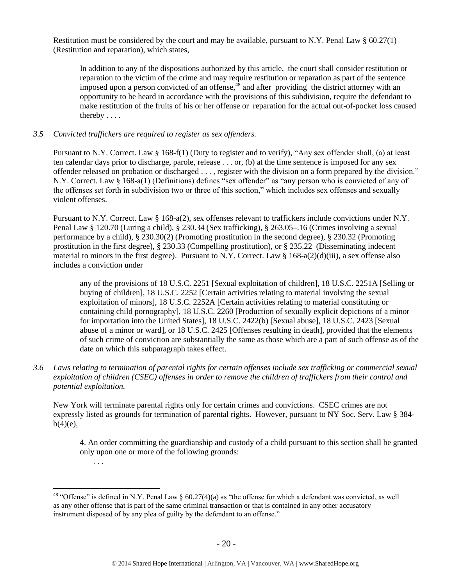Restitution must be considered by the court and may be available, pursuant to N.Y. Penal Law  $\S 60.27(1)$ (Restitution and reparation), which states,

<span id="page-19-0"></span>In addition to any of the dispositions authorized by this article, the court shall consider restitution or reparation to the victim of the crime and may require restitution or reparation as part of the sentence imposed upon a person convicted of an offense,  $48$  and after providing the district attorney with an opportunity to be heard in accordance with the provisions of this subdivision, require the defendant to make restitution of the fruits of his or her offense or reparation for the actual out-of-pocket loss caused thereby . . . .

## *3.5 Convicted traffickers are required to register as sex offenders.*

. . .

 $\overline{a}$ 

Pursuant to N.Y. Correct. Law § 168-f(1) (Duty to register and to verify), "Any sex offender shall, (a) at least ten calendar days prior to discharge, parole, release . . . or, (b) at the time sentence is imposed for any sex offender released on probation or discharged . . . , register with the division on a form prepared by the division." N.Y. Correct. Law § 168-a(1) (Definitions) defines "sex offender" as "any person who is convicted of any of the offenses set forth in subdivision two or three of this section," which includes sex offenses and sexually violent offenses.

Pursuant to N.Y. Correct. Law § 168-a(2), sex offenses relevant to traffickers include convictions under N.Y. Penal Law § 120.70 (Luring a child), § 230.34 (Sex trafficking), § 263.05–.16 (Crimes involving a sexual performance by a child), § 230.30(2) (Promoting prostitution in the second degree), § 230.32 (Promoting prostitution in the first degree), § 230.33 (Compelling prostitution), or § 235.22 (Disseminating indecent material to minors in the first degree). Pursuant to N.Y. Correct. Law  $\S$  168-a(2)(d)(iii), a sex offense also includes a conviction under

any of the provisions of 18 U.S.C. 2251 [Sexual exploitation of children], 18 U.S.C. 2251A [Selling or buying of children], 18 U.S.C. 2252 [Certain activities relating to material involving the sexual exploitation of minors], 18 U.S.C. 2252A [Certain activities relating to material constituting or containing child pornography], 18 U.S.C. 2260 [Production of sexually explicit depictions of a minor for importation into the United States], 18 U.S.C. 2422(b) [Sexual abuse], 18 U.S.C. 2423 [Sexual abuse of a minor or ward], or 18 U.S.C. 2425 [Offenses resulting in death], provided that the elements of such crime of conviction are substantially the same as those which are a part of such offense as of the date on which this subparagraph takes effect.

*3.6 Laws relating to termination of parental rights for certain offenses include sex trafficking or commercial sexual exploitation of children (CSEC) offenses in order to remove the children of traffickers from their control and potential exploitation.* 

New York will terminate parental rights only for certain crimes and convictions. CSEC crimes are not expressly listed as grounds for termination of parental rights. However, pursuant to NY Soc. Serv. Law § 384  $b(4)(e)$ ,

4. An order committing the guardianship and custody of a child pursuant to this section shall be granted only upon one or more of the following grounds:

<sup>&</sup>lt;sup>48</sup> "Offense" is defined in N.Y. Penal Law §  $60.27(4)(a)$  as "the offense for which a defendant was convicted, as well as any other offense that is part of the same criminal transaction or that is contained in any other accusatory instrument disposed of by any plea of guilty by the defendant to an offense."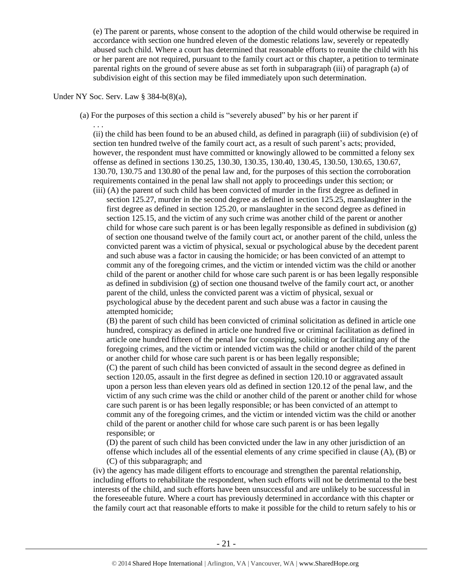(e) The parent or parents, whose consent to the adoption of the child would otherwise be required in accordance with section one hundred eleven of the domestic relations law, severely or repeatedly abused such child. Where a court has determined that reasonable efforts to reunite the child with his or her parent are not required, pursuant to the family court act or this chapter, a petition to terminate parental rights on the ground of severe abuse as set forth in subparagraph (iii) of paragraph (a) of subdivision eight of this section may be filed immediately upon such determination.

#### Under NY Soc. Serv. Law § 384-b(8)(a),

(a) For the purposes of this section a child is "severely abused" by his or her parent if

. . . (ii) the child has been found to be an abused child, as defined in paragraph (iii) of subdivision (e) of section ten hundred twelve of the family court act, as a result of such parent's acts; provided, however, the respondent must have committed or knowingly allowed to be committed a felony sex offense as defined in sections 130.25, 130.30, 130.35, 130.40, 130.45, 130.50, 130.65, 130.67, 130.70, 130.75 and 130.80 of the penal law and, for the purposes of this section the corroboration requirements contained in the penal law shall not apply to proceedings under this section; or (iii) (A) the parent of such child has been convicted of murder in the first degree as defined in

section 125.27, murder in the second degree as defined in section 125.25, manslaughter in the first degree as defined in section 125.20, or manslaughter in the second degree as defined in section 125.15, and the victim of any such crime was another child of the parent or another child for whose care such parent is or has been legally responsible as defined in subdivision (g) of section one thousand twelve of the family court act, or another parent of the child, unless the convicted parent was a victim of physical, sexual or psychological abuse by the decedent parent and such abuse was a factor in causing the homicide; or has been convicted of an attempt to commit any of the foregoing crimes, and the victim or intended victim was the child or another child of the parent or another child for whose care such parent is or has been legally responsible as defined in subdivision (g) of section one thousand twelve of the family court act, or another parent of the child, unless the convicted parent was a victim of physical, sexual or psychological abuse by the decedent parent and such abuse was a factor in causing the attempted homicide;

(B) the parent of such child has been convicted of criminal solicitation as defined in article one hundred, conspiracy as defined in article one hundred five or criminal facilitation as defined in article one hundred fifteen of the penal law for conspiring, soliciting or facilitating any of the foregoing crimes, and the victim or intended victim was the child or another child of the parent or another child for whose care such parent is or has been legally responsible;

(C) the parent of such child has been convicted of assault in the second degree as defined in section 120.05, assault in the first degree as defined in section 120.10 or aggravated assault upon a person less than eleven years old as defined in [section 120.12 of the penal law,](https://www.lexis.com/research/buttonTFLink?_m=e880d9483f99e364b375ae20ab05207e&_xfercite=%3ccite%20cc%3d%22USA%22%3e%3c%21%5bCDATA%5bNY%20CLS%20Soc%20Serv%20%a7%20384-b%5d%5d%3e%3c%2fcite%3e&_butType=4&_butStat=0&_butNum=6&_butInline=1&_butinfo=NY%20PEN%20120.12&_fmtstr=FULL&docnum=1&_startdoc=1&wchp=dGLbVzV-zSkAz&_md5=dc269850153f9d3d11851ede72a40a24) and the victim of any such crime was the child or another child of the parent or another child for whose care such parent is or has been legally responsible; or has been convicted of an attempt to commit any of the foregoing crimes, and the victim or intended victim was the child or another child of the parent or another child for whose care such parent is or has been legally responsible; or

(D) the parent of such child has been convicted under the law in any other jurisdiction of an offense which includes all of the essential elements of any crime specified in clause (A), (B) or (C) of this subparagraph; and

(iv) the agency has made diligent efforts to encourage and strengthen the parental relationship, including efforts to rehabilitate the respondent, when such efforts will not be detrimental to the best interests of the child, and such efforts have been unsuccessful and are unlikely to be successful in the foreseeable future. Where a court has previously determined in accordance with this chapter or the family court act that reasonable efforts to make it possible for the child to return safely to his or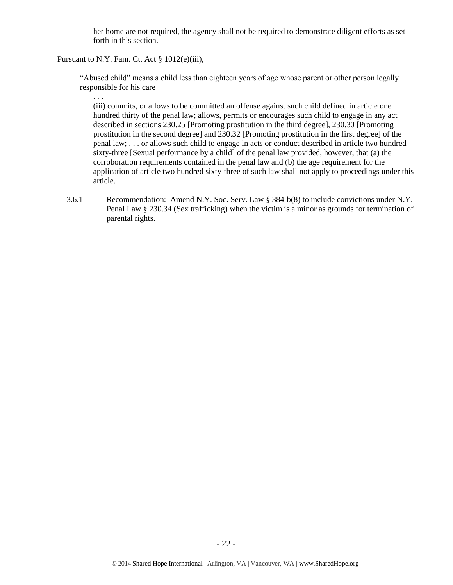her home are not required, the agency shall not be required to demonstrate diligent efforts as set forth in this section.

Pursuant to N.Y. Fam. Ct. Act § 1012(e)(iii),

"Abused child" means a child less than eighteen years of age whose parent or other person legally responsible for his care

. . .

(iii) commits, or allows to be committed an offense against such child defined in article one hundred thirty of the penal law; allows, permits or encourages such child to engage in any act described in sections 230.25 [Promoting prostitution in the third degree], 230.30 [Promoting prostitution in the second degree] and 230.32 [Promoting prostitution in the first degree] of the penal law; . . . or allows such child to engage in acts or conduct described in article two hundred sixty-three [Sexual performance by a child] of the penal law provided, however, that (a) the corroboration requirements contained in the penal law and (b) the age requirement for the application of article two hundred sixty-three of such law shall not apply to proceedings under this article.

3.6.1 Recommendation: Amend N.Y. Soc. Serv. Law § 384-b(8) to include convictions under N.Y. Penal Law § 230.34 (Sex trafficking) when the victim is a minor as grounds for termination of parental rights.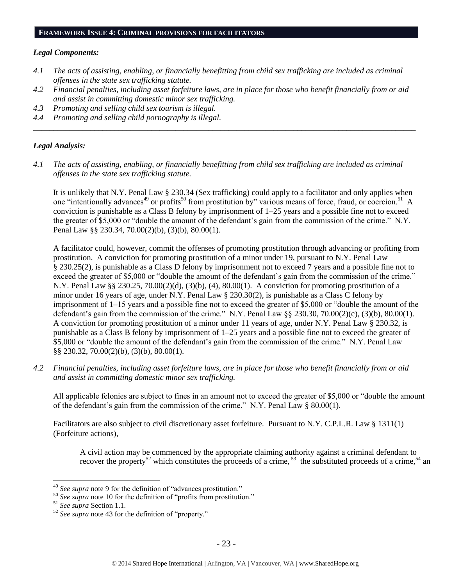#### **FRAMEWORK ISSUE 4: CRIMINAL PROVISIONS FOR FACILITATORS**

#### *Legal Components:*

- *4.1 The acts of assisting, enabling, or financially benefitting from child sex trafficking are included as criminal offenses in the state sex trafficking statute.*
- *4.2 Financial penalties, including asset forfeiture laws, are in place for those who benefit financially from or aid and assist in committing domestic minor sex trafficking.*

*\_\_\_\_\_\_\_\_\_\_\_\_\_\_\_\_\_\_\_\_\_\_\_\_\_\_\_\_\_\_\_\_\_\_\_\_\_\_\_\_\_\_\_\_\_\_\_\_\_\_\_\_\_\_\_\_\_\_\_\_\_\_\_\_\_\_\_\_\_\_\_\_\_\_\_\_\_\_\_\_\_\_\_\_\_\_\_\_\_\_\_\_\_\_*

- *4.3 Promoting and selling child sex tourism is illegal.*
- *4.4 Promoting and selling child pornography is illegal.*

## *Legal Analysis:*

*4.1 The acts of assisting, enabling, or financially benefitting from child sex trafficking are included as criminal offenses in the state sex trafficking statute.*

It is unlikely that N.Y. Penal Law § 230.34 (Sex trafficking) could apply to a facilitator and only applies when one "intentionally advances<sup>49</sup> or profits<sup>50</sup> from prostitution by" various means of force, fraud, or coercion.<sup>51</sup> A conviction is punishable as a Class B felony by imprisonment of 1–25 years and a possible fine not to exceed the greater of \$5,000 or "double the amount of the defendant's gain from the commission of the crime." N.Y. Penal Law §§ 230.34, 70.00(2)(b), (3)(b), 80.00(1).

A facilitator could, however, commit the offenses of promoting prostitution through advancing or profiting from prostitution. A conviction for promoting prostitution of a minor under 19, pursuant to N.Y. Penal Law § 230.25(2), is punishable as a Class D felony by imprisonment not to exceed 7 years and a possible fine not to exceed the greater of \$5,000 or "double the amount of the defendant's gain from the commission of the crime." N.Y. Penal Law §§ 230.25, 70.00(2)(d), (3)(b), (4), 80.00(1). A conviction for promoting prostitution of a minor under 16 years of age, under N.Y. Penal Law § 230.30(2), is punishable as a Class C felony by imprisonment of 1–15 years and a possible fine not to exceed the greater of \$5,000 or "double the amount of the defendant's gain from the commission of the crime." N.Y. Penal Law  $\S$  230.30, 70.00(2)(c), (3)(b), 80.00(1). A conviction for promoting prostitution of a minor under 11 years of age, under N.Y. Penal Law § 230.32, is punishable as a Class B felony by imprisonment of 1–25 years and a possible fine not to exceed the greater of \$5,000 or "double the amount of the defendant's gain from the commission of the crime." N.Y. Penal Law §§ 230.32, 70.00(2)(b), (3)(b), 80.00(1).

*4.2 Financial penalties, including asset forfeiture laws, are in place for those who benefit financially from or aid and assist in committing domestic minor sex trafficking.*

All applicable felonies are subject to fines in an amount not to exceed the greater of \$5,000 or "double the amount of the defendant's gain from the commission of the crime." N.Y. Penal Law § 80.00(1).

Facilitators are also subject to civil discretionary asset forfeiture. Pursuant to N.Y. C.P.L.R. Law § 1311(1) (Forfeiture actions),

A civil action may be commenced by the appropriate claiming authority against a criminal defendant to recover the property<sup>52</sup> which constitutes the proceeds of a crime,  $^{53}$  the substituted proceeds of a crime,  $^{54}$  an

<sup>49</sup> *See supra* note [9](#page-2-1) for the definition of "advances prostitution."

<sup>&</sup>lt;sup>50</sup> See supra note [10](#page-2-2) for the definition of "profits from prostitution."

<sup>51</sup> *See supra* Section 1.1.

<sup>52</sup> *See supra* note [43](#page-18-0) for the definition of "property."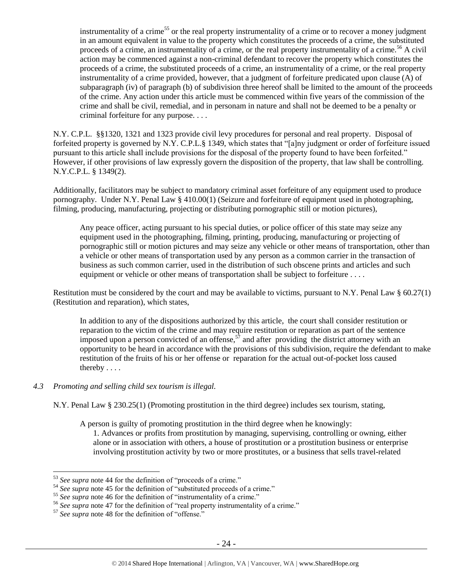instrumentality of a crime<sup>55</sup> or the real property instrumentality of a crime or to recover a money judgment in an amount equivalent in value to the property which constitutes the proceeds of a crime, the substituted proceeds of a crime, an instrumentality of a crime, or the real property instrumentality of a crime.<sup>56</sup> A civil action may be commenced against a non-criminal defendant to recover the property which constitutes the proceeds of a crime, the substituted proceeds of a crime, an instrumentality of a crime, or the real property instrumentality of a crime provided, however, that a judgment of forfeiture predicated upon clause (A) of subparagraph (iv) of paragraph (b) of subdivision three hereof shall be limited to the amount of the proceeds of the crime. Any action under this article must be commenced within five years of the commission of the crime and shall be civil, remedial, and in personam in nature and shall not be deemed to be a penalty or criminal forfeiture for any purpose. . . .

N.Y. C.P.L. §§1320, 1321 and 1323 provide civil levy procedures for personal and real property. Disposal of forfeited property is governed by N.Y. C.P.L.§ 1349, which states that "[a]ny judgment or order of forfeiture issued pursuant to this article shall include provisions for the disposal of the property found to have been forfeited." However, if other provisions of law expressly govern the disposition of the property, that law shall be controlling. N.Y.C.P.L. § 1349(2).

Additionally, facilitators may be subject to mandatory criminal asset forfeiture of any equipment used to produce pornography. Under N.Y. Penal Law § 410.00(1) (Seizure and forfeiture of equipment used in photographing, filming, producing, manufacturing, projecting or distributing pornographic still or motion pictures),

Any peace officer, acting pursuant to his special duties, or police officer of this state may seize any equipment used in the photographing, filming, printing, producing, manufacturing or projecting of pornographic still or motion pictures and may seize any vehicle or other means of transportation, other than a vehicle or other means of transportation used by any person as a common carrier in the transaction of business as such common carrier, used in the distribution of such obscene prints and articles and such equipment or vehicle or other means of transportation shall be subject to forfeiture . . . .

Restitution must be considered by the court and may be available to victims, pursuant to N.Y. Penal Law § 60.27(1) (Restitution and reparation), which states,

In addition to any of the dispositions authorized by this article, the court shall consider restitution or reparation to the victim of the crime and may require restitution or reparation as part of the sentence imposed upon a person convicted of an offense,<sup>57</sup> and after providing the district attorney with an opportunity to be heard in accordance with the provisions of this subdivision, require the defendant to make restitution of the fruits of his or her offense or reparation for the actual out-of-pocket loss caused thereby . . . .

## *4.3 Promoting and selling child sex tourism is illegal.*

N.Y. Penal Law § 230.25(1) (Promoting prostitution in the third degree) includes sex tourism, stating,

A person is guilty of promoting prostitution in the third degree when he knowingly:

1. Advances or profits from prostitution by managing, supervising, controlling or owning, either alone or in association with others, a house of prostitution or a prostitution business or enterprise involving prostitution activity by two or more prostitutes, or a business that sells travel-related

 $\overline{a}$ <sup>53</sup> *See supra* note [44](#page-18-1) for the definition of "proceeds of a crime."

<sup>&</sup>lt;sup>54</sup> See supra note [45](#page-18-2) for the definition of "substituted proceeds of a crime."

<sup>&</sup>lt;sup>55</sup> See supra note [46](#page-18-3) for the definition of "instrumentality of a crime."

<sup>&</sup>lt;sup>56</sup> See supra note [47](#page-18-4) for the definition of "real property instrumentality of a crime."

<sup>57</sup> *See supra* note [48](#page-19-0) for the definition of "offense."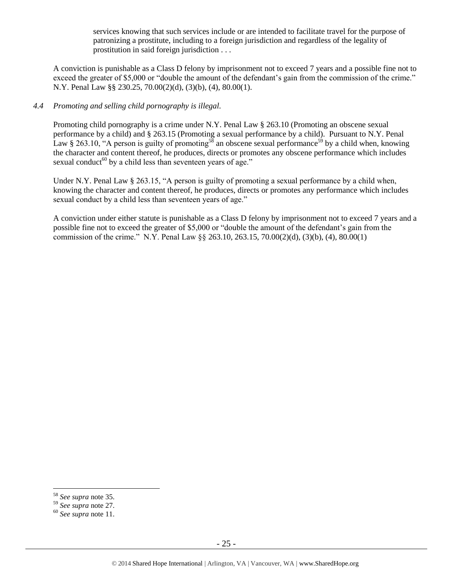services knowing that such services include or are intended to facilitate travel for the purpose of patronizing a prostitute, including to a foreign jurisdiction and regardless of the legality of prostitution in said foreign jurisdiction . . .

A conviction is punishable as a Class D felony by imprisonment not to exceed 7 years and a possible fine not to exceed the greater of \$5,000 or "double the amount of the defendant's gain from the commission of the crime." N.Y. Penal Law §§ 230.25, 70.00(2)(d), (3)(b), (4), 80.00(1).

## *4.4 Promoting and selling child pornography is illegal.*

Promoting child pornography is a crime under N.Y. Penal Law § 263.10 (Promoting an obscene sexual performance by a child) and § 263.15 (Promoting a sexual performance by a child). Pursuant to N.Y. Penal Law § 263.10, "A person is guilty of promoting<sup>58</sup> an obscene sexual performance<sup>59</sup> by a child when, knowing the character and content thereof, he produces, directs or promotes any obscene performance which includes sexual conduct<sup>60</sup> by a child less than seventeen years of age."

Under N.Y. Penal Law § 263.15, "A person is guilty of promoting a sexual performance by a child when, knowing the character and content thereof, he produces, directs or promotes any performance which includes sexual conduct by a child less than seventeen years of age."

A conviction under either statute is punishable as a Class D felony by imprisonment not to exceed 7 years and a possible fine not to exceed the greater of \$5,000 or "double the amount of the defendant's gain from the commission of the crime." N.Y. Penal Law §§ 263.10, 263.15, 70.00(2)(d), (3)(b), (4), 80.00(1)

<sup>58</sup> *See supra* note [35.](#page-16-0)

<sup>59</sup> *See supra* note [27.](#page-13-0)

<sup>60</sup> *See supra* note [11.](#page-3-0)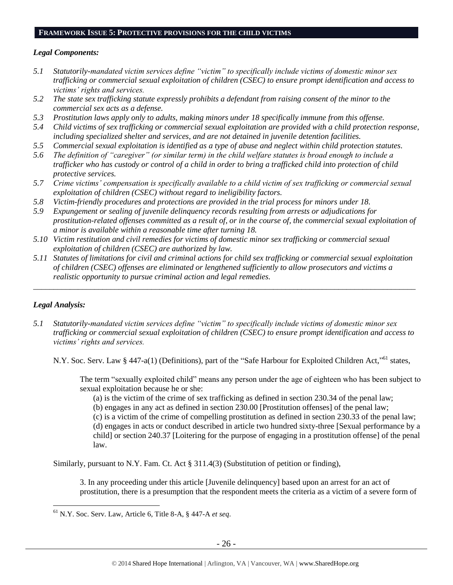#### **FRAMEWORK ISSUE 5: PROTECTIVE PROVISIONS FOR THE CHILD VICTIMS**

## *Legal Components:*

- *5.1 Statutorily-mandated victim services define "victim" to specifically include victims of domestic minor sex trafficking or commercial sexual exploitation of children (CSEC) to ensure prompt identification and access to victims' rights and services.*
- *5.2 The state sex trafficking statute expressly prohibits a defendant from raising consent of the minor to the commercial sex acts as a defense.*
- *5.3 Prostitution laws apply only to adults, making minors under 18 specifically immune from this offense.*
- *5.4 Child victims of sex trafficking or commercial sexual exploitation are provided with a child protection response, including specialized shelter and services, and are not detained in juvenile detention facilities.*
- *5.5 Commercial sexual exploitation is identified as a type of abuse and neglect within child protection statutes.*
- *5.6 The definition of "caregiver" (or similar term) in the child welfare statutes is broad enough to include a trafficker who has custody or control of a child in order to bring a trafficked child into protection of child protective services.*
- *5.7 Crime victims' compensation is specifically available to a child victim of sex trafficking or commercial sexual exploitation of children (CSEC) without regard to ineligibility factors.*
- *5.8 Victim-friendly procedures and protections are provided in the trial process for minors under 18.*
- *5.9 Expungement or sealing of juvenile delinquency records resulting from arrests or adjudications for prostitution-related offenses committed as a result of, or in the course of, the commercial sexual exploitation of a minor is available within a reasonable time after turning 18.*
- *5.10 Victim restitution and civil remedies for victims of domestic minor sex trafficking or commercial sexual exploitation of children (CSEC) are authorized by law.*
- *5.11 Statutes of limitations for civil and criminal actions for child sex trafficking or commercial sexual exploitation of children (CSEC) offenses are eliminated or lengthened sufficiently to allow prosecutors and victims a realistic opportunity to pursue criminal action and legal remedies.*

*\_\_\_\_\_\_\_\_\_\_\_\_\_\_\_\_\_\_\_\_\_\_\_\_\_\_\_\_\_\_\_\_\_\_\_\_\_\_\_\_\_\_\_\_\_\_\_\_\_\_\_\_\_\_\_\_\_\_\_\_\_\_\_\_\_\_\_\_\_\_\_\_\_\_\_\_\_\_\_\_\_\_\_\_\_\_\_\_\_\_\_\_\_\_*

# *Legal Analysis:*

 $\overline{a}$ 

*5.1 Statutorily-mandated victim services define "victim" to specifically include victims of domestic minor sex trafficking or commercial sexual exploitation of children (CSEC) to ensure prompt identification and access to victims' rights and services.* 

N.Y. Soc. Serv. Law § 447-a(1) (Definitions), part of the "Safe Harbour for Exploited Children Act,"<sup>61</sup> states,

The term "sexually exploited child" means any person under the age of eighteen who has been subject to sexual exploitation because he or she:

- (a) is the victim of the crime of sex trafficking as defined in section 230.34 of the penal law;
- (b) engages in any act as defined in section 230.00 [Prostitution offenses] of the penal law;

(c) is a victim of the crime of compelling prostitution as defined in section 230.33 of the penal law; (d) engages in acts or conduct described in article two hundred sixty-three [Sexual performance by a child] or section 240.37 [Loitering for the purpose of engaging in a prostitution offense] of the penal law.

Similarly, pursuant to N.Y. Fam. Ct. Act § 311.4(3) (Substitution of petition or finding),

3. In any proceeding under this article [Juvenile delinquency] based upon an arrest for an act of prostitution, there is a presumption that the respondent meets the criteria as a victim of a severe form of

<sup>61</sup> N.Y. Soc. Serv. Law, Article 6, Title 8-A, § 447-A *et seq*.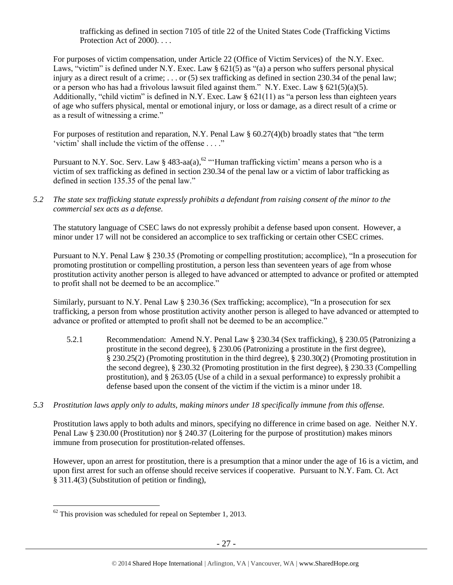trafficking as defined in section 7105 of title 22 of the United States Code (Trafficking Victims Protection Act of 2000). . . .

For purposes of victim compensation, under Article 22 (Office of Victim Services) of the N.Y. Exec. Laws, "victim" is defined under N.Y. Exec. Law § 621(5) as "(a) a person who suffers personal physical injury as a direct result of a crime; . . . or (5) sex trafficking as defined in section 230.34 of the penal law; or a person who has had a frivolous lawsuit filed against them." N.Y. Exec. Law §  $621(5)(a)(5)$ . Additionally, "child victim" is defined in N.Y. Exec. Law § 621(11) as "a person less than eighteen years of age who suffers physical, mental or emotional injury, or loss or damage, as a direct result of a crime or as a result of witnessing a crime."

For purposes of restitution and reparation, N.Y. Penal Law § 60.27(4)(b) broadly states that "the term 'victim' shall include the victim of the offense . . . ."

Pursuant to N.Y. Soc. Serv. Law § 483-aa(a),<sup>62</sup> "Human trafficking victim' means a person who is a victim of sex trafficking as defined in section 230.34 of the penal law or a victim of labor trafficking as defined in section 135.35 of the penal law."

*5.2 The state sex trafficking statute expressly prohibits a defendant from raising consent of the minor to the commercial sex acts as a defense.*

The statutory language of CSEC laws do not expressly prohibit a defense based upon consent. However, a minor under 17 will not be considered an accomplice to sex trafficking or certain other CSEC crimes.

Pursuant to N.Y. Penal Law § 230.35 (Promoting or compelling prostitution; accomplice), "In a prosecution for promoting prostitution or compelling prostitution, a person less than seventeen years of age from whose prostitution activity another person is alleged to have advanced or attempted to advance or profited or attempted to profit shall not be deemed to be an accomplice."

Similarly, pursuant to N.Y. Penal Law § 230.36 (Sex trafficking; accomplice), "In a prosecution for sex trafficking, a person from whose prostitution activity another person is alleged to have advanced or attempted to advance or profited or attempted to profit shall not be deemed to be an accomplice."

- 5.2.1 Recommendation: Amend N.Y. Penal Law § 230.34 (Sex trafficking), § 230.05 (Patronizing a prostitute in the second degree), § 230.06 (Patronizing a prostitute in the first degree), § 230.25(2) (Promoting prostitution in the third degree), § 230.30(2) (Promoting prostitution in the second degree), § 230.32 (Promoting prostitution in the first degree), § 230.33 (Compelling prostitution), and § 263.05 (Use of a child in a sexual performance) to expressly prohibit a defense based upon the consent of the victim if the victim is a minor under 18.
- *5.3 Prostitution laws apply only to adults, making minors under 18 specifically immune from this offense.*

Prostitution laws apply to both adults and minors, specifying no difference in crime based on age. Neither N.Y. Penal Law § 230.00 (Prostitution) nor § 240.37 (Loitering for the purpose of prostitution) makes minors immune from prosecution for prostitution-related offenses.

However, upon an arrest for prostitution, there is a presumption that a minor under the age of 16 is a victim, and upon first arrest for such an offense should receive services if cooperative. Pursuant to N.Y. Fam. Ct. Act § 311.4(3) (Substitution of petition or finding),

 $62$  This provision was scheduled for repeal on September 1, 2013.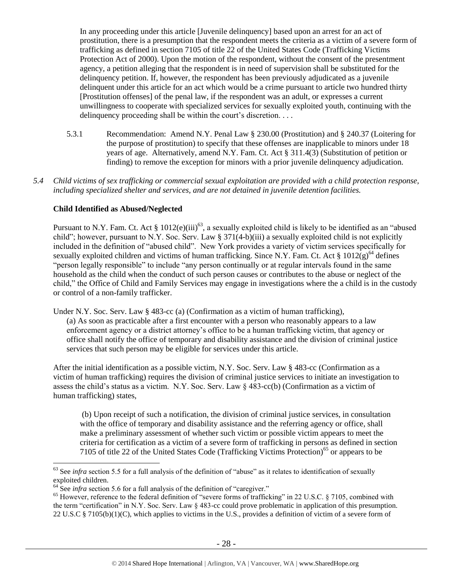In any proceeding under this article [Juvenile delinquency] based upon an arrest for an act of prostitution, there is a presumption that the respondent meets the criteria as a victim of a severe form of trafficking as defined in section 7105 of title 22 of the United States Code (Trafficking Victims Protection Act of 2000). Upon the motion of the respondent, without the consent of the presentment agency, a petition alleging that the respondent is in need of supervision shall be substituted for the delinquency petition. If, however, the respondent has been previously adjudicated as a juvenile delinquent under this article for an act which would be a crime pursuant to article two hundred thirty [Prostitution offenses] of the penal law, if the respondent was an adult, or expresses a current unwillingness to cooperate with specialized services for sexually exploited youth, continuing with the delinquency proceeding shall be within the court's discretion...

- 5.3.1 Recommendation: Amend N.Y. Penal Law § 230.00 (Prostitution) and § 240.37 (Loitering for the purpose of prostitution) to specify that these offenses are inapplicable to minors under 18 years of age. Alternatively, amend N.Y. Fam. Ct. Act § 311.4(3) (Substitution of petition or finding) to remove the exception for minors with a prior juvenile delinquency adjudication.
- *5.4 Child victims of sex trafficking or commercial sexual exploitation are provided with a child protection response, including specialized shelter and services, and are not detained in juvenile detention facilities.*

# **Child Identified as Abused/Neglected**

Pursuant to N.Y. Fam. Ct. Act § 1012(e)(iii)<sup>63</sup>, a sexually exploited child is likely to be identified as an "abused child"; however, pursuant to N.Y. Soc. Serv. Law  $\S 371(4-b)(iii)$  a sexually exploited child is not explicitly included in the definition of "abused child". New York provides a variety of victim services specifically for sexually exploited children and victims of human trafficking. Since N.Y. Fam. Ct. Act  $\S 1012(g)^{64}$  defines "person legally responsible" to include "any person continually or at regular intervals found in the same household as the child when the conduct of such person causes or contributes to the abuse or neglect of the child," the Office of Child and Family Services may engage in investigations where the a child is in the custody or control of a non-family trafficker.

Under N.Y. Soc. Serv. Law § 483-cc (a) (Confirmation as a victim of human trafficking),

(a) As soon as practicable after a first encounter with a person who reasonably appears to a law enforcement agency or a district attorney's office to be a human trafficking victim, that agency or office shall notify the office of temporary and disability assistance and the division of criminal justice services that such person may be eligible for services under this article.

After the initial identification as a possible victim, N.Y. Soc. Serv. Law § 483-cc (Confirmation as a victim of human trafficking) requires the division of criminal justice services to initiate an investigation to assess the child's status as a victim. N.Y. Soc. Serv. Law § 483-cc(b) (Confirmation as a victim of human trafficking) states,

(b) Upon receipt of such a notification, the division of criminal justice services, in consultation with the office of temporary and disability assistance and the referring agency or office, shall make a preliminary assessment of whether such victim or possible victim appears to meet the criteria for certification as a victim of a severe form of trafficking in persons as defined in section 7105 of title 22 of the United States Code (Trafficking Victims Protection)<sup>65</sup> or appears to be

<sup>&</sup>lt;sup>63</sup> See *infra* section 5.5 for a full analysis of the definition of "abuse" as it relates to identification of sexually exploited children.

 $64$  See *infra* section 5.6 for a full analysis of the definition of "caregiver."

 $^{65}$  However, reference to the federal definition of "severe forms of trafficking" in 22 U.S.C. § 7105, combined with the term "certification" in N.Y. Soc. Serv. Law  $\S$  483-cc could prove problematic in application of this presumption. 22 U.S.C § 7105(b)(1)(C), which applies to victims in the U.S., provides a definition of victim of a severe form of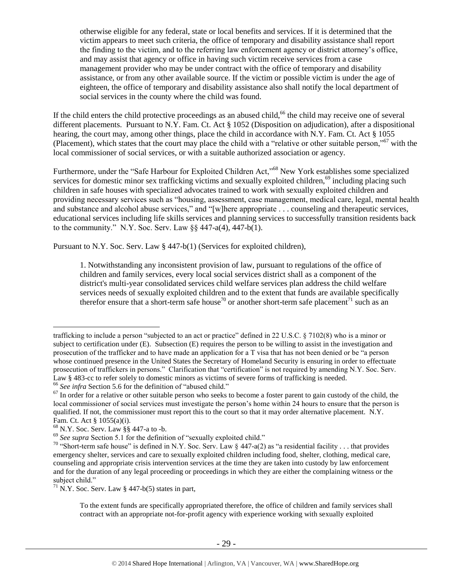otherwise eligible for any federal, state or local benefits and services. If it is determined that the victim appears to meet such criteria, the office of temporary and disability assistance shall report the finding to the victim, and to the referring law enforcement agency or district attorney's office, and may assist that agency or office in having such victim receive services from a case management provider who may be under contract with the office of temporary and disability assistance, or from any other available source. If the victim or possible victim is under the age of eighteen, the office of temporary and disability assistance also shall notify the local department of social services in the county where the child was found.

If the child enters the child protective proceedings as an abused child,<sup>66</sup> the child may receive one of several different placements. Pursuant to N.Y. Fam. Ct. Act § 1052 (Disposition on adjudication), after a dispositional hearing, the court may, among other things, place the child in accordance with N.Y. Fam. Ct. Act § 1055 (Placement), which states that the court may place the child with a "relative or other suitable person,"<sup>67</sup> with the local commissioner of social services, or with a suitable authorized association or agency.

Furthermore, under the "Safe Harbour for Exploited Children Act,"<sup>68</sup> New York establishes some specialized services for domestic minor sex trafficking victims and sexually exploited children,<sup>69</sup> including placing such children in safe houses with specialized advocates trained to work with sexually exploited children and providing necessary services such as "housing, assessment, case management, medical care, legal, mental health and substance and alcohol abuse services," and "[w]here appropriate . . . counseling and therapeutic services, educational services including life skills services and planning services to successfully transition residents back to the community." N.Y. Soc. Serv. Law  $\S$ § 447-a(4), 447-b(1).

Pursuant to N.Y. Soc. Serv. Law § 447-b(1) (Services for exploited children),

1. Notwithstanding any inconsistent provision of law, pursuant to regulations of the office of children and family services, every local social services district shall as a component of the district's multi-year consolidated services child welfare services plan address the child welfare services needs of sexually exploited children and to the extent that funds are available specifically therefor ensure that a short-term safe house<sup>70</sup> or another short-term safe placement<sup>71</sup> such as an

 $\overline{a}$ 

 $71$  N.Y. Soc. Serv. Law § 447-b(5) states in part,

To the extent funds are specifically appropriated therefore, the office of children and family services shall contract with an appropriate not-for-profit agency with experience working with sexually exploited

trafficking to include a person "subjected to an act or practice" defined in 22 U.S.C. § 7102(8) who is a minor or subject to certification under (E). Subsection (E) requires the person to be willing to assist in the investigation and prosecution of the trafficker and to have made an application for a T visa that has not been denied or be "a person whose continued presence in the United States the Secretary of Homeland Security is ensuring in order to effectuate prosecution of traffickers in persons." Clarification that "certification" is not required by amending N.Y. Soc. Serv. Law § 483-cc to refer solely to domestic minors as victims of severe forms of trafficking is needed. <sup>66</sup> See infra Section 5.6 for the definition of "abused child."

 $67$  In order for a relative or other suitable person who seeks to become a foster parent to gain custody of the child, the local commissioner of social services must investigate the person's home within 24 hours to ensure that the person is qualified. If not, the commissioner must report this to the court so that it may order alternative placement. N.Y. Fam. Ct. Act § 1055(a)(i).

<sup>68</sup> N.Y. Soc. Serv. Law §§ 447-a to -b.

<sup>&</sup>lt;sup>69</sup> See supra Section 5.1 for the definition of "sexually exploited child."

<sup>&</sup>lt;sup>70</sup> "Short-term safe house" is defined in N.Y. Soc. Serv. Law § 447-a(2) as "a residential facility . . . that provides emergency shelter, services and care to sexually exploited children including food, shelter, clothing, medical care, counseling and appropriate crisis intervention services at the time they are taken into custody by law enforcement and for the duration of any legal proceeding or proceedings in which they are either the complaining witness or the subject child."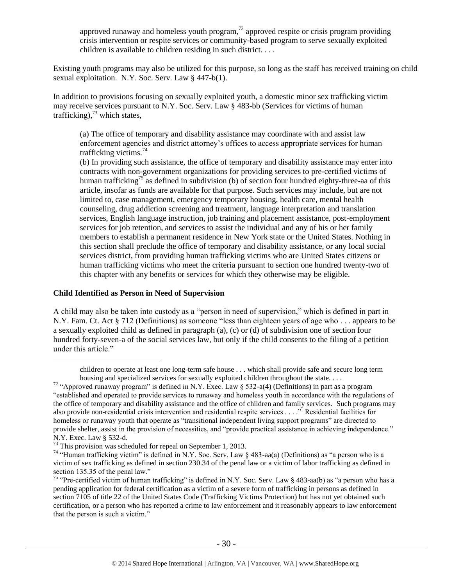approved runaway and homeless youth program,<sup>72</sup> approved respite or crisis program providing crisis intervention or respite services or community-based program to serve sexually exploited children is available to children residing in such district. . . .

Existing youth programs may also be utilized for this purpose, so long as the staff has received training on child sexual exploitation. N.Y. Soc. Serv. Law § 447-b(1).

In addition to provisions focusing on sexually exploited youth, a domestic minor sex trafficking victim may receive services pursuant to N.Y. Soc. Serv. Law § 483-bb (Services for victims of human trafficking), $^{73}$  which states,

(a) The office of temporary and disability assistance may coordinate with and assist law enforcement agencies and district attorney's offices to access appropriate services for human trafficking victims. $74$ 

(b) In providing such assistance, the office of temporary and disability assistance may enter into contracts with non-government organizations for providing services to pre-certified victims of human trafficking<sup>75</sup> as defined in subdivision (b) of section four hundred eighty-three-aa of this article, insofar as funds are available for that purpose. Such services may include, but are not limited to, case management, emergency temporary housing, health care, mental health counseling, drug addiction screening and treatment, language interpretation and translation services, English language instruction, job training and placement assistance, post-employment services for job retention, and services to assist the individual and any of his or her family members to establish a permanent residence in New York state or the United States. Nothing in this section shall preclude the office of temporary and disability assistance, or any local social services district, from providing human trafficking victims who are United States citizens or human trafficking victims who meet the criteria pursuant to section one hundred twenty-two of this chapter with any benefits or services for which they otherwise may be eligible.

## **Child Identified as Person in Need of Supervision**

 $\overline{a}$ 

A child may also be taken into custody as a "person in need of supervision," which is defined in part in N.Y. Fam. Ct. Act § 712 (Definitions) as someone "less than eighteen years of age who . . . appears to be a sexually exploited child as defined in paragraph (a), (c) or (d) of subdivision one of section four hundred forty-seven-a of the social services law, but only if the child consents to the filing of a petition under this article."

children to operate at least one long-term safe house . . . which shall provide safe and secure long term housing and specialized services for sexually exploited children throughout the state....

<sup>72</sup> "Approved runaway program" is defined in N.Y. Exec. Law § 532-a(4) (Definitions) in part as a program "established and operated to provide services to runaway and homeless youth in accordance with the regulations of the office of temporary and disability assistance and the office of children and family services. Such programs may also provide non-residential crisis intervention and residential respite services . . . ." Residential facilities for homeless or runaway youth that operate as "transitional independent living support programs" are directed to provide shelter, assist in the provision of necessities, and "provide practical assistance in achieving independence." N.Y. Exec. Law § 532-d.

 $73$  This provision was scheduled for repeal on September 1, 2013.

<sup>74</sup> "Human trafficking victim" is defined in N.Y. Soc. Serv. Law § 483-aa(a) (Definitions) as "a person who is a victim of sex trafficking as defined in section 230.34 of the penal law or a victim of labor trafficking as defined in section 135.35 of the penal law."

<sup>&</sup>lt;sup>75</sup> "Pre-certified victim of human trafficking" is defined in N.Y. Soc. Serv. Law § 483-aa(b) as "a person who has a pending application for federal certification as a victim of a severe form of trafficking in persons as defined in section 7105 of title 22 of the United States Code (Trafficking Victims Protection) but has not yet obtained such certification, or a person who has reported a crime to law enforcement and it reasonably appears to law enforcement that the person is such a victim."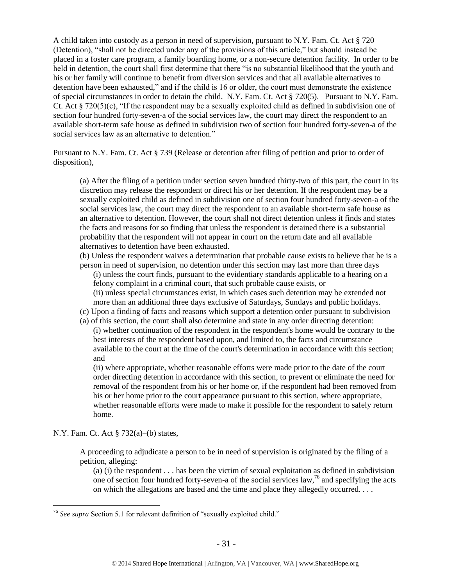A child taken into custody as a person in need of supervision, pursuant to N.Y. Fam. Ct. Act § 720 (Detention), "shall not be directed under any of the provisions of this article," but should instead be placed in a foster care program, a family boarding home, or a non-secure detention facility. In order to be held in detention, the court shall first determine that there "is no substantial likelihood that the youth and his or her family will continue to benefit from diversion services and that all available alternatives to detention have been exhausted," and if the child is 16 or older, the court must demonstrate the existence of special circumstances in order to detain the child. N.Y. Fam. Ct. Act § 720(5). Pursuant to N.Y. Fam. Ct. Act § 720(5)(c), "If the respondent may be a sexually exploited child as defined in subdivision one of section four hundred forty-seven-a of the social services law, the court may direct the respondent to an available short-term safe house as defined in subdivision two of section four hundred forty-seven-a of the social services law as an alternative to detention."

Pursuant to N.Y. Fam. Ct. Act § 739 (Release or detention after filing of petition and prior to order of disposition),

(a) After the filing of a petition under section seven hundred thirty-two of this part, the court in its discretion may release the respondent or direct his or her detention. If the respondent may be a sexually exploited child as defined in subdivision one of section four hundred forty-seven-a of the social services law, the court may direct the respondent to an available short-term safe house as an alternative to detention. However, the court shall not direct detention unless it finds and states the facts and reasons for so finding that unless the respondent is detained there is a substantial probability that the respondent will not appear in court on the return date and all available alternatives to detention have been exhausted.

(b) Unless the respondent waives a determination that probable cause exists to believe that he is a person in need of supervision, no detention under this section may last more than three days

- (i) unless the court finds, pursuant to the evidentiary standards applicable to a hearing on a felony complaint in a criminal court, that such probable cause exists, or (ii) unless special circumstances exist, in which cases such detention may be extended not
- more than an additional three days exclusive of Saturdays, Sundays and public holidays.
- (c) Upon a finding of facts and reasons which support a detention order pursuant to subdivision
- (a) of this section, the court shall also determine and state in any order directing detention: (i) whether continuation of the respondent in the respondent's home would be contrary to the best interests of the respondent based upon, and limited to, the facts and circumstance available to the court at the time of the court's determination in accordance with this section; and

(ii) where appropriate, whether reasonable efforts were made prior to the date of the court order directing detention in accordance with this section, to prevent or eliminate the need for removal of the respondent from his or her home or, if the respondent had been removed from his or her home prior to the court appearance pursuant to this section, where appropriate, whether reasonable efforts were made to make it possible for the respondent to safely return home.

#### N.Y. Fam. Ct. Act § 732(a)–(b) states,

 $\overline{a}$ 

A proceeding to adjudicate a person to be in need of supervision is originated by the filing of a petition, alleging:

(a) (i) the respondent . . . has been the victim of sexual exploitation as defined in subdivision one of section four hundred forty-seven-a of the social services law,  $\frac{76}{10}$  and specifying the acts on which the allegations are based and the time and place they allegedly occurred. . . .

<sup>76</sup> *See supra* Section 5.1 for relevant definition of "sexually exploited child."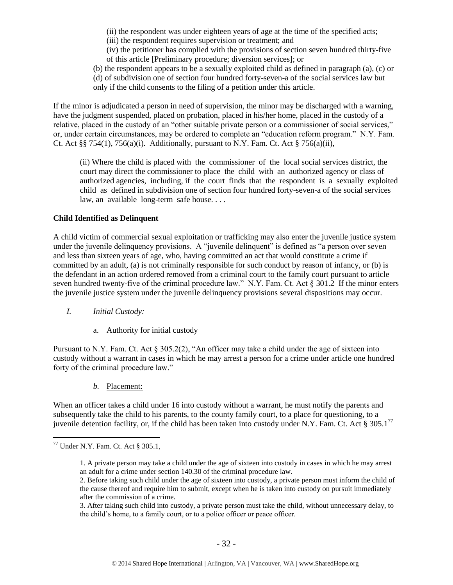(ii) the respondent was under eighteen years of age at the time of the specified acts;

(iii) the respondent requires supervision or treatment; and

(iv) the petitioner has complied with the provisions of section seven hundred thirty-five of this article [Preliminary procedure; diversion services]; or

(b) the respondent appears to be a sexually exploited child as defined in paragraph (a), (c) or (d) of subdivision one of section four hundred forty-seven-a of the social services law but only if the child consents to the filing of a petition under this article.

If the minor is adjudicated a person in need of supervision, the minor may be discharged with a warning, have the judgment suspended, placed on probation, placed in his/her home, placed in the custody of a relative, placed in the custody of an "other suitable private person or a commissioner of social services," or, under certain circumstances, may be ordered to complete an "education reform program." N.Y. Fam. Ct. Act  $\S$  754(1), 756(a)(i). Additionally, pursuant to N.Y. Fam. Ct. Act  $\S$  756(a)(ii),

(ii) Where the child is placed with the commissioner of the local social services district, the court may direct the commissioner to place the child with an authorized agency or class of authorized agencies, including, if the court finds that the respondent is a sexually exploited child as defined in subdivision one of section four hundred forty-seven-a of the social services law, an available long-term safe house. . . .

## **Child Identified as Delinquent**

A child victim of commercial sexual exploitation or trafficking may also enter the juvenile justice system under the juvenile delinquency provisions. A "juvenile delinquent" is defined as "a person over seven and less than sixteen years of age, who, having committed an act that would constitute a crime if committed by an adult, (a) is not criminally responsible for such conduct by reason of infancy, or (b) is the defendant in an action ordered removed from a criminal court to the family court pursuant to article seven hundred twenty-five of the criminal procedure law." N.Y. Fam. Ct. Act § 301.2 If the minor enters the juvenile justice system under the juvenile delinquency provisions several dispositions may occur.

- *I. Initial Custody:* 
	- a. Authority for initial custody

Pursuant to N.Y. Fam. Ct. Act § 305.2(2), "An officer may take a child under the age of sixteen into custody without a warrant in cases in which he may arrest a person for a crime under article one hundred forty of the criminal procedure law."

*b.* Placement:

When an officer takes a child under 16 into custody without a warrant, he must notify the parents and subsequently take the child to his parents, to the county family court, to a place for questioning, to a juvenile detention facility, or, if the child has been taken into custody under N.Y. Fam. Ct. Act § 305.1<sup>77</sup>

 $\overline{a}$ 

3. After taking such child into custody, a private person must take the child, without unnecessary delay, to the child's home, to a family court, or to a police officer or peace officer.

<sup>77</sup> Under N.Y. Fam. Ct. Act § 305.1,

<sup>1.</sup> A private person may take a child under the age of sixteen into custody in cases in which he may arrest an adult for a crime under section 140.30 of the criminal procedure law.

<sup>2.</sup> Before taking such child under the age of sixteen into custody, a private person must inform the child of the cause thereof and require him to submit, except when he is taken into custody on pursuit immediately after the commission of a crime.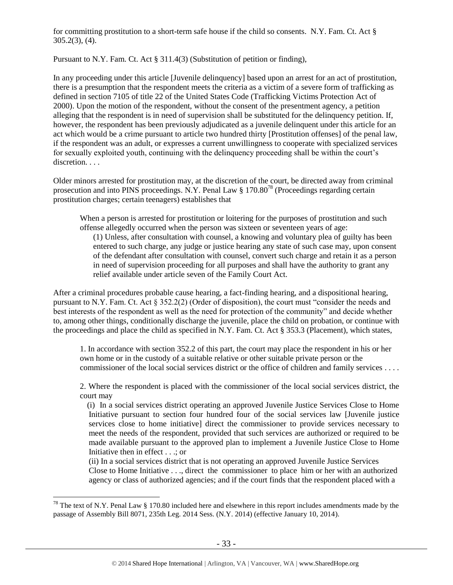for committing prostitution to a short-term safe house if the child so consents. N.Y. Fam. Ct. Act § 305.2(3), (4).

Pursuant to N.Y. Fam. Ct. Act § 311.4(3) (Substitution of petition or finding),

In any proceeding under this article [Juvenile delinquency] based upon an arrest for an act of prostitution, there is a presumption that the respondent meets the criteria as a victim of a severe form of trafficking as defined in section 7105 of title 22 of the United States Code (Trafficking Victims Protection Act of 2000). Upon the motion of the respondent, without the consent of the presentment agency, a petition alleging that the respondent is in need of supervision shall be substituted for the delinquency petition. If, however, the respondent has been previously adjudicated as a juvenile delinquent under this article for an act which would be a crime pursuant to article two hundred thirty [Prostitution offenses] of the penal law, if the respondent was an adult, or expresses a current unwillingness to cooperate with specialized services for sexually exploited youth, continuing with the delinquency proceeding shall be within the court's discretion...

Older minors arrested for prostitution may, at the discretion of the court, be directed away from criminal prosecution and into PINS proceedings. N.Y. Penal Law  $\S 170.80^{78}$  (Proceedings regarding certain prostitution charges; certain teenagers) establishes that

When a person is arrested for prostitution or loitering for the purposes of prostitution and such offense allegedly occurred when the person was sixteen or seventeen years of age:

<span id="page-32-0"></span>(1) Unless, after consultation with counsel, a knowing and voluntary plea of guilty has been entered to such charge, any judge or justice hearing any state of such case may, upon consent of the defendant after consultation with counsel, convert such charge and retain it as a person in need of supervision proceeding for all purposes and shall have the authority to grant any relief available under article seven of the Family Court Act.

After a criminal procedures probable cause hearing, a fact-finding hearing, and a dispositional hearing, pursuant to N.Y. Fam. Ct. Act § 352.2(2) (Order of disposition), the court must "consider the needs and best interests of the respondent as well as the need for protection of the community" and decide whether to, among other things, conditionally discharge the juvenile, place the child on probation, or continue with the proceedings and place the child as specified in N.Y. Fam. Ct. Act § 353.3 (Placement), which states,

1. In accordance with section 352.2 of this part, the court may place the respondent in his or her own home or in the custody of a suitable relative or other suitable private person or the commissioner of the local social services district or the office of children and family services . . . .

2. Where the respondent is placed with the commissioner of the local social services district, the court may

(i) In a social services district operating an approved Juvenile Justice Services Close to Home Initiative pursuant to section four hundred four of the social services law [Juvenile justice services close to home initiative] direct the commissioner to provide services necessary to meet the needs of the respondent, provided that such services are authorized or required to be made available pursuant to the approved plan to implement a Juvenile Justice Close to Home Initiative then in effect . . .; or

(ii) In a social services district that is not operating an approved Juvenile Justice Services Close to Home Initiative . . ., direct the commissioner to place him or her with an authorized agency or class of authorized agencies; and if the court finds that the respondent placed with a

<sup>&</sup>lt;sup>78</sup> The text of N.Y. Penal Law § 170.80 included here and elsewhere in this report includes amendments made by the passage of Assembly Bill 8071, 235th Leg. 2014 Sess. (N.Y. 2014) (effective January 10, 2014).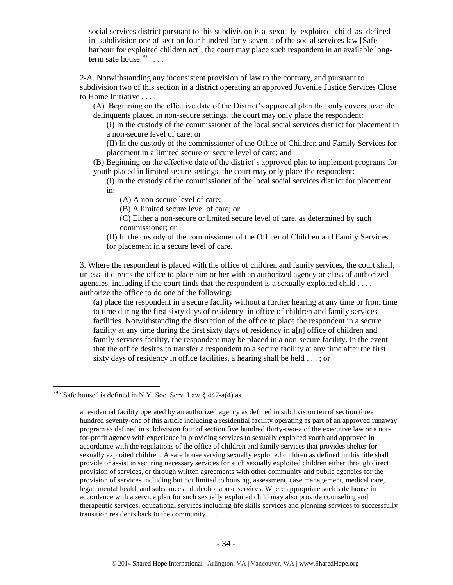social services district pursuant to this subdivision is a sexually exploited child as defined in subdivision one of section four hundred forty-seven-a of the social services law [Safe harbour for exploited children act], the court may place such respondent in an available longterm safe house.<sup>79</sup> ...

2-A. Notwithstanding any inconsistent provision of law to the contrary, and pursuant to subdivision two of this section in a district operating an approved Juvenile Justice Services Close to Home Initiative . . . :

(A) Beginning on the effective date of the District's approved plan that only covers juvenile delinquents placed in non-secure settings, the court may only place the respondent:

(I) In the custody of the commissioner of the local social services district for placement in a non-secure level of care; or

(II) In the custody of the commissioner of the Office of Children and Family Services for placement in a limited secure or secure level of care; and

(B) Beginning on the effective date of the district's approved plan to implement programs for youth placed in limited secure settings, the court may only place the respondent:

(I) In the custody of the commissioner of the local social services district for placement in:

(A) A non-secure level of care;

(B) A limited secure level of care; or

(C) Either a non-secure or limited secure level of care, as determined by such commissioner; or

(II) In the custody of the commissioner of the Officer of Children and Family Services for placement in a secure level of care.

3. Where the respondent is placed with the office of children and family services, the court shall, unless it directs the office to place him or her with an authorized agency or class of authorized agencies, including if the court finds that the respondent is a sexually exploited child . . . , authorize the office to do one of the following:

(a) place the respondent in a secure facility without a further hearing at any time or from time to time during the first sixty days of residency in office of children and family services facilities. Notwithstanding the discretion of the office to place the respondent in a secure facility at any time during the first sixty days of residency in a[n] office of children and family services facility, the respondent may be placed in a non-secure facility. In the event that the office desires to transfer a respondent to a secure facility at any time after the first sixty days of residency in office facilities, a hearing shall be held . . . ; or

<sup>&</sup>lt;sup>79</sup> "Safe house" is defined in N.Y. Soc. Serv. Law  $\S$  447-a(4) as

a residential facility operated by an authorized agency as defined in subdivision ten of section three hundred seventy-one of this article including a residential facility operating as part of an approved runaway program as defined in subdivision four of section five hundred thirty-two-a of the executive law or a notfor-profit agency with experience in providing services to sexually exploited youth and approved in accordance with the regulations of the office of children and family services that provides shelter for sexually exploited children. A safe house serving sexually exploited children as defined in this title shall provide or assist in securing necessary services for such sexually exploited children either through direct provision of services, or through written agreements with other community and public agencies for the provision of services including but not limited to housing, assessment, case management, medical care, legal, mental health and substance and alcohol abuse services. Where appropriate such safe house in accordance with a service plan for such sexually exploited child may also provide counseling and therapeutic services, educational services including life skills services and planning services to successfully transition residents back to the community. . . .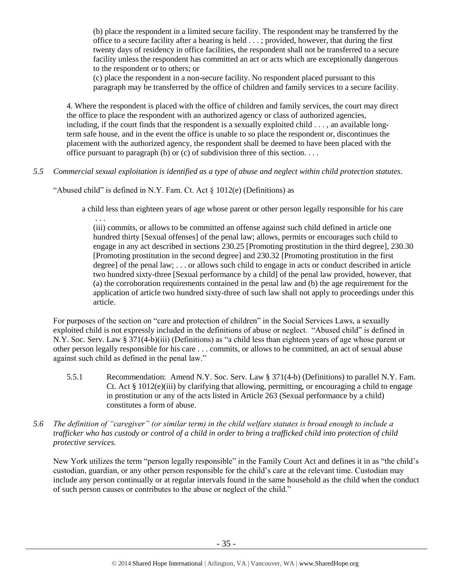(b) place the respondent in a limited secure facility. The respondent may be transferred by the office to a secure facility after a hearing is held . . . ; provided, however, that during the first twenty days of residency in office facilities, the respondent shall not be transferred to a secure facility unless the respondent has committed an act or acts which are exceptionally dangerous to the respondent or to others; or

(c) place the respondent in a non-secure facility. No respondent placed pursuant to this paragraph may be transferred by the office of children and family services to a secure facility.

4. Where the respondent is placed with the office of children and family services, the court may direct the office to place the respondent with an authorized agency or class of authorized agencies, including, if the court finds that the respondent is a sexually exploited child . . . , an available longterm safe house, and in the event the office is unable to so place the respondent or, discontinues the placement with the authorized agency, the respondent shall be deemed to have been placed with the office pursuant to paragraph (b) or (c) of subdivision three of this section.  $\dots$ 

*5.5 Commercial sexual exploitation is identified as a type of abuse and neglect within child protection statutes.*

"Abused child" is defined in N.Y. Fam. Ct. Act § 1012(e) (Definitions) as

a child less than eighteen years of age whose parent or other person legally responsible for his care . . .

(iii) commits, or allows to be committed an offense against such child defined in article one hundred thirty [Sexual offenses] of the penal law; allows, permits or encourages such child to engage in any act described in sections 230.25 [Promoting prostitution in the third degree], 230.30 [Promoting prostitution in the second degree] and 230.32 [Promoting prostitution in the first degree] of the penal law; . . . or allows such child to engage in acts or conduct described in article two hundred sixty-three [Sexual performance by a child] of the penal law provided, however, that (a) the corroboration requirements contained in the penal law and (b) the age requirement for the application of article two hundred sixty-three of such law shall not apply to proceedings under this article.

For purposes of the section on "care and protection of children" in the Social Services Laws, a sexually exploited child is not expressly included in the definitions of abuse or neglect. "Abused child" is defined in N.Y. Soc. Serv. Law § 371(4-b)(iii) (Definitions) as "a child less than eighteen years of age whose parent or other person legally responsible for his care . . . commits, or allows to be committed, an act of sexual abuse against such child as defined in the penal law."

- 5.5.1 Recommendation: Amend N.Y. Soc. Serv. Law § 371(4-b) (Definitions) to parallel N.Y. Fam. Ct. Act § 1012(e)(iii) by clarifying that allowing, permitting, or encouraging a child to engage in prostitution or any of the acts listed in Article 263 (Sexual performance by a child) constitutes a form of abuse.
- *5.6 The definition of "caregiver" (or similar term) in the child welfare statutes is broad enough to include a trafficker who has custody or control of a child in order to bring a trafficked child into protection of child protective services.*

New York utilizes the term "person legally responsible" in the Family Court Act and defines it in as "the child's custodian, guardian, or any other person responsible for the child's care at the relevant time. Custodian may include any person continually or at regular intervals found in the same household as the child when the conduct of such person causes or contributes to the abuse or neglect of the child."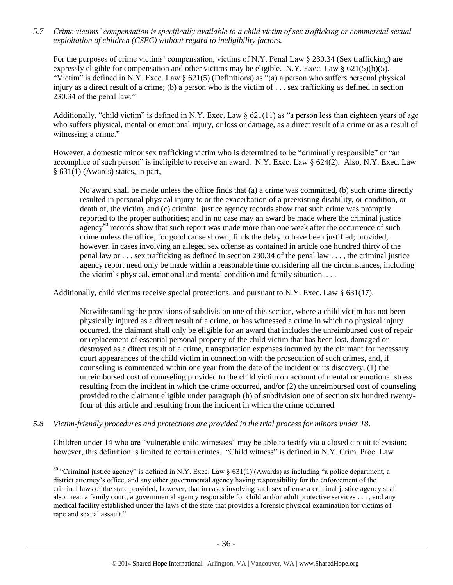*5.7 Crime victims' compensation is specifically available to a child victim of sex trafficking or commercial sexual exploitation of children (CSEC) without regard to ineligibility factors.*

For the purposes of crime victims' compensation, victims of N.Y. Penal Law § 230.34 (Sex trafficking) are expressly eligible for compensation and other victims may be eligible. N.Y. Exec. Law  $\S 621(5)(b)(5)$ . "Victim" is defined in N.Y. Exec. Law § 621(5) (Definitions) as "(a) a person who suffers personal physical injury as a direct result of a crime; (b) a person who is the victim of . . . sex trafficking as defined in section 230.34 of the penal law."

Additionally, "child victim" is defined in N.Y. Exec. Law  $\S 621(11)$  as "a person less than eighteen years of age who suffers physical, mental or emotional injury, or loss or damage, as a direct result of a crime or as a result of witnessing a crime."

However, a domestic minor sex trafficking victim who is determined to be "criminally responsible" or "an accomplice of such person" is ineligible to receive an award. N.Y. Exec. Law § 624(2). Also, N.Y. Exec. Law § 631(1) (Awards) states, in part,

No award shall be made unless the office finds that (a) a crime was committed, (b) such crime directly resulted in personal physical injury to or the exacerbation of a preexisting disability, or condition, or death of, the victim, and (c) criminal justice agency records show that such crime was promptly reported to the proper authorities; and in no case may an award be made where the criminal justice agency $80$  records show that such report was made more than one week after the occurrence of such crime unless the office, for good cause shown, finds the delay to have been justified; provided, however, in cases involving an alleged sex offense as contained in article one hundred thirty of the penal law or . . . sex trafficking as defined in section 230.34 of the penal law . . . , the criminal justice agency report need only be made within a reasonable time considering all the circumstances, including the victim's physical, emotional and mental condition and family situation. . . .

Additionally, child victims receive special protections, and pursuant to N.Y. Exec. Law § 631(17),

Notwithstanding the provisions of subdivision one of this section, where a child victim has not been physically injured as a direct result of a crime, or has witnessed a crime in which no physical injury occurred, the claimant shall only be eligible for an award that includes the unreimbursed cost of repair or replacement of essential personal property of the child victim that has been lost, damaged or destroyed as a direct result of a crime, transportation expenses incurred by the claimant for necessary court appearances of the child victim in connection with the prosecution of such crimes, and, if counseling is commenced within one year from the date of the incident or its discovery, (1) the unreimbursed cost of counseling provided to the child victim on account of mental or emotional stress resulting from the incident in which the crime occurred, and/or (2) the unreimbursed cost of counseling provided to the claimant eligible under paragraph (h) of subdivision one of section six hundred twentyfour of this article and resulting from the incident in which the crime occurred.

*5.8 Victim-friendly procedures and protections are provided in the trial process for minors under 18.*

 $\overline{a}$ 

Children under 14 who are "vulnerable child witnesses" may be able to testify via a closed circuit television; however, this definition is limited to certain crimes. "Child witness" is defined in N.Y. Crim. Proc. Law

<sup>&</sup>lt;sup>80</sup> "Criminal justice agency" is defined in N.Y. Exec. Law § 631(1) (Awards) as including "a police department, a district attorney's office, and any other governmental agency having responsibility for the enforcement of the criminal laws of the state provided, however, that in cases involving such sex offense a criminal justice agency shall also mean a family court, a governmental agency responsible for child and/or adult protective services . . . , and any medical facility established under the laws of the state that provides a forensic physical examination for victims of rape and sexual assault."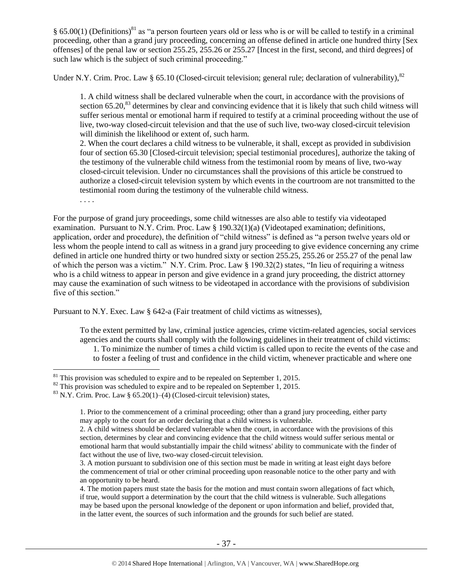§ 65.00(1) (Definitions)<sup>81</sup> as "a person fourteen years old or less who is or will be called to testify in a criminal proceeding, other than a grand jury proceeding, concerning an offense defined in article one hundred thirty [Sex offenses] of the penal law or section 255.25, 255.26 or 255.27 [Incest in the first, second, and third degrees] of such law which is the subject of such criminal proceeding."

Under N.Y. Crim. Proc. Law § 65.10 (Closed-circuit television; general rule; declaration of vulnerability), $^{82}$ 

1. A child witness shall be declared vulnerable when the court, in accordance with the provisions of section  $65.20$ ,  $83$  determines by clear and convincing evidence that it is likely that such child witness will suffer serious mental or emotional harm if required to testify at a criminal proceeding without the use of live, two-way closed-circuit television and that the use of such live, two-way closed-circuit television will diminish the likelihood or extent of, such harm.

2. When the court declares a child witness to be vulnerable, it shall, except as provided in subdivision four of section 65.30 [Closed-circuit television; special testimonial procedures], authorize the taking of the testimony of the vulnerable child witness from the testimonial room by means of live, two-way closed-circuit television. Under no circumstances shall the provisions of this article be construed to authorize a closed-circuit television system by which events in the courtroom are not transmitted to the testimonial room during the testimony of the vulnerable child witness.

. . . .

 $\overline{a}$ 

For the purpose of grand jury proceedings, some child witnesses are also able to testify via videotaped examination. Pursuant to N.Y. Crim. Proc. Law § 190.32(1)(a) (Videotaped examination; definitions, application, order and procedure), the definition of "child witness" is defined as "a person twelve years old or less whom the people intend to call as witness in a grand jury proceeding to give evidence concerning any crime defined in article one hundred thirty or two hundred sixty or section 255.25, 255.26 or 255.27 of the penal law of which the person was a victim." N.Y. Crim. Proc. Law § 190.32(2) states, "In lieu of requiring a witness who is a child witness to appear in person and give evidence in a grand jury proceeding, the district attorney may cause the examination of such witness to be videotaped in accordance with the provisions of subdivision five of this section."

Pursuant to N.Y. Exec. Law § 642-a (Fair treatment of child victims as witnesses),

To the extent permitted by law, criminal justice agencies, crime victim-related agencies, social services agencies and the courts shall comply with the following guidelines in their treatment of child victims: 1. To minimize the number of times a child victim is called upon to recite the events of the case and to foster a feeling of trust and confidence in the child victim, whenever practicable and where one

 $81$ <sup>81</sup> This provision was scheduled to expire and to be repealed on September 1, 2015.

<sup>&</sup>lt;sup>82</sup> This provision was scheduled to expire and to be repealed on September 1, 2015.

<sup>&</sup>lt;sup>83</sup> N.Y. Crim. Proc. Law § 65.20(1)–(4) (Closed-circuit television) states,

<sup>1.</sup> Prior to the commencement of a criminal proceeding; other than a grand jury proceeding, either party may apply to the court for an order declaring that a child witness is vulnerable.

<sup>2.</sup> A child witness should be declared vulnerable when the court, in accordance with the provisions of this section, determines by clear and convincing evidence that the child witness would suffer serious mental or emotional harm that would substantially impair the child witness' ability to communicate with the finder of fact without the use of live, two-way closed-circuit television.

<sup>3.</sup> A motion pursuant to subdivision one of this section must be made in writing at least eight days before the commencement of trial or other criminal proceeding upon reasonable notice to the other party and with an opportunity to be heard.

<sup>4.</sup> The motion papers must state the basis for the motion and must contain sworn allegations of fact which, if true, would support a determination by the court that the child witness is vulnerable. Such allegations may be based upon the personal knowledge of the deponent or upon information and belief, provided that, in the latter event, the sources of such information and the grounds for such belief are stated.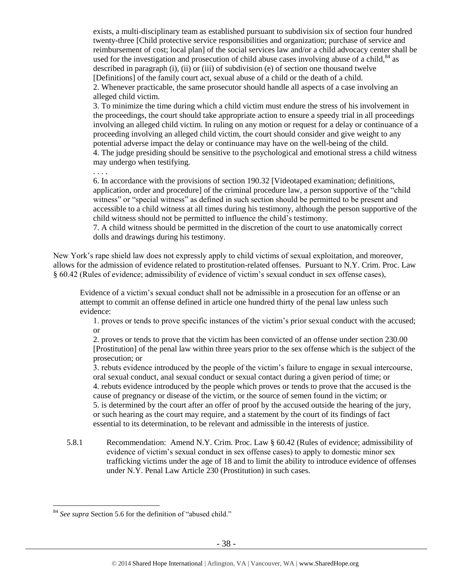exists, a multi-disciplinary team as established pursuant to subdivision six of section four hundred twenty-three [Child protective service responsibilities and organization; purchase of service and reimbursement of cost; local plan] of the social services law and/or a child advocacy center shall be used for the investigation and prosecution of child abuse cases involving abuse of a child,  $84$  as described in paragraph (i), (ii) or (iii) of subdivision (e) of section one thousand twelve [Definitions] of the family court act, sexual abuse of a child or the death of a child. 2. Whenever practicable, the same prosecutor should handle all aspects of a case involving an alleged child victim.

3. To minimize the time during which a child victim must endure the stress of his involvement in the proceedings, the court should take appropriate action to ensure a speedy trial in all proceedings involving an alleged child victim. In ruling on any motion or request for a delay or continuance of a proceeding involving an alleged child victim, the court should consider and give weight to any potential adverse impact the delay or continuance may have on the well-being of the child. 4. The judge presiding should be sensitive to the psychological and emotional stress a child witness may undergo when testifying.

. . . .

6. In accordance with the provisions of section 190.32 [Videotaped examination; definitions, application, order and procedure] of the criminal procedure law, a person supportive of the "child witness" or "special witness" as defined in such section should be permitted to be present and accessible to a child witness at all times during his testimony, although the person supportive of the child witness should not be permitted to influence the child's testimony.

7. A child witness should be permitted in the discretion of the court to use anatomically correct dolls and drawings during his testimony.

New York's rape shield law does not expressly apply to child victims of sexual exploitation, and moreover, allows for the admission of evidence related to prostitution-related offenses. Pursuant to N.Y. Crim. Proc. Law § 60.42 (Rules of evidence; admissibility of evidence of victim's sexual conduct in sex offense cases),

Evidence of a victim's sexual conduct shall not be admissible in a prosecution for an offense or an attempt to commit an offense defined in article one hundred thirty of the penal law unless such evidence:

1. proves or tends to prove specific instances of the victim's prior sexual conduct with the accused; or

2. proves or tends to prove that the victim has been convicted of an offense under section 230.00 [Prostitution] of the penal law within three years prior to the sex offense which is the subject of the prosecution; or

3. rebuts evidence introduced by the people of the victim's failure to engage in sexual intercourse, oral sexual conduct, anal sexual conduct or sexual contact during a given period of time; or 4. rebuts evidence introduced by the people which proves or tends to prove that the accused is the cause of pregnancy or disease of the victim, or the source of semen found in the victim; or 5. is determined by the court after an offer of proof by the accused outside the hearing of the jury, or such hearing as the court may require, and a statement by the court of its findings of fact essential to its determination, to be relevant and admissible in the interests of justice.

5.8.1 Recommendation: Amend N.Y. Crim. Proc. Law § 60.42 (Rules of evidence; admissibility of evidence of victim's sexual conduct in sex offense cases) to apply to domestic minor sex trafficking victims under the age of 18 and to limit the ability to introduce evidence of offenses under N.Y. Penal Law Article 230 (Prostitution) in such cases.

 $\overline{a}$ <sup>84</sup> *See supra* Section 5.6 for the definition of "abused child."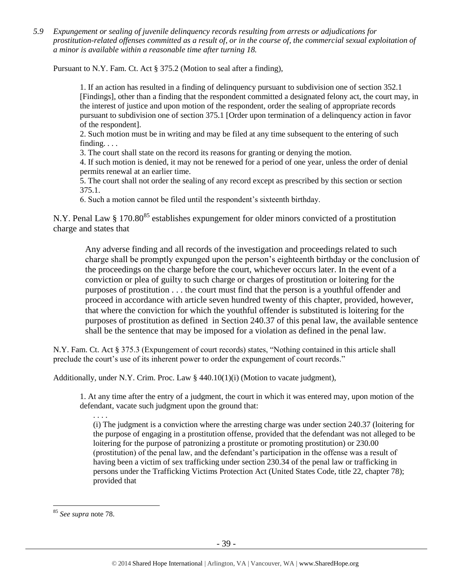*5.9 Expungement or sealing of juvenile delinquency records resulting from arrests or adjudications for prostitution-related offenses committed as a result of, or in the course of, the commercial sexual exploitation of a minor is available within a reasonable time after turning 18.*

Pursuant to N.Y. Fam. Ct. Act § 375.2 (Motion to seal after a finding),

1. If an action has resulted in a finding of delinquency pursuant to subdivision one of section 352.1 [Findings], other than a finding that the respondent committed a designated felony act, the court may, in the interest of justice and upon motion of the respondent, order the sealing of appropriate records pursuant to subdivision one of section 375.1 [Order upon termination of a delinquency action in favor of the respondent].

2. Such motion must be in writing and may be filed at any time subsequent to the entering of such finding. . . .

3. The court shall state on the record its reasons for granting or denying the motion.

4. If such motion is denied, it may not be renewed for a period of one year, unless the order of denial permits renewal at an earlier time.

5. The court shall not order the sealing of any record except as prescribed by this section or section 375.1.

6. Such a motion cannot be filed until the respondent's sixteenth birthday.

N.Y. Penal Law  $\S 170.80^{85}$  establishes expungement for older minors convicted of a prostitution charge and states that

Any adverse finding and all records of the investigation and proceedings related to such charge shall be promptly expunged upon the person's eighteenth birthday or the conclusion of the proceedings on the charge before the court, whichever occurs later. In the event of a conviction or plea of guilty to such charge or charges of prostitution or loitering for the purposes of prostitution . . . the court must find that the person is a youthful offender and proceed in accordance with article seven hundred twenty of this chapter, provided, however, that where the conviction for which the youthful offender is substituted is loitering for the purposes of prostitution as defined in Section 240.37 of this penal law, the available sentence shall be the sentence that may be imposed for a violation as defined in the penal law.

N.Y. Fam. Ct. Act § 375.3 (Expungement of court records) states, "Nothing contained in this article shall preclude the court's use of its inherent power to order the expungement of court records."

Additionally, under N.Y. Crim. Proc. Law § 440.10(1)(i) (Motion to vacate judgment),

1. At any time after the entry of a judgment, the court in which it was entered may, upon motion of the defendant, vacate such judgment upon the ground that:

. . . .

(i) The judgment is a conviction where the arresting charge was under section 240.37 (loitering for the purpose of engaging in a prostitution offense, provided that the defendant was not alleged to be loitering for the purpose of patronizing a prostitute or promoting prostitution) or 230.00 (prostitution) of the penal law, and the defendant's participation in the offense was a result of having been a victim of sex trafficking under section 230.34 of the penal law or trafficking in persons under the Trafficking Victims Protection Act (United States Code, title 22, chapter 78); provided that

<sup>85</sup> *See supra* note [78.](#page-32-0)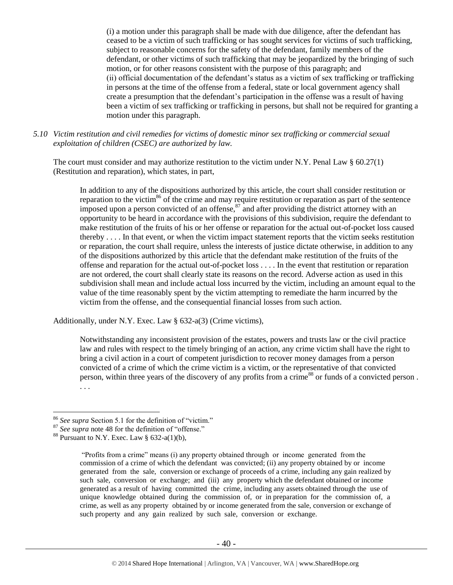(i) a motion under this paragraph shall be made with due diligence, after the defendant has ceased to be a victim of such trafficking or has sought services for victims of such trafficking, subject to reasonable concerns for the safety of the defendant, family members of the defendant, or other victims of such trafficking that may be jeopardized by the bringing of such motion, or for other reasons consistent with the purpose of this paragraph; and (ii) official documentation of the defendant's status as a victim of sex trafficking or trafficking in persons at the time of the offense from a federal, state or local government agency shall create a presumption that the defendant's participation in the offense was a result of having been a victim of sex trafficking or trafficking in persons, but shall not be required for granting a motion under this paragraph.

## *5.10 Victim restitution and civil remedies for victims of domestic minor sex trafficking or commercial sexual exploitation of children (CSEC) are authorized by law.*

The court must consider and may authorize restitution to the victim under N.Y. Penal Law § 60.27(1) (Restitution and reparation), which states, in part,

In addition to any of the dispositions authorized by this article, the court shall consider restitution or reparation to the victim<sup>86</sup> of the crime and may require restitution or reparation as part of the sentence imposed upon a person convicted of an offense, $\frac{87}{2}$  and after providing the district attorney with an opportunity to be heard in accordance with the provisions of this subdivision, require the defendant to make restitution of the fruits of his or her offense or reparation for the actual out-of-pocket loss caused thereby . . . . In that event, or when the victim impact statement reports that the victim seeks restitution or reparation, the court shall require, unless the interests of justice dictate otherwise, in addition to any of the dispositions authorized by this article that the defendant make restitution of the fruits of the offense and reparation for the actual out-of-pocket loss . . . . In the event that restitution or reparation are not ordered, the court shall clearly state its reasons on the record. Adverse action as used in this subdivision shall mean and include actual loss incurred by the victim, including an amount equal to the value of the time reasonably spent by the victim attempting to remediate the harm incurred by the victim from the offense, and the consequential financial losses from such action.

Additionally, under N.Y. Exec. Law § 632-a(3) (Crime victims),

Notwithstanding any inconsistent provision of the estates, powers and trusts law or the civil practice law and rules with respect to the timely bringing of an action, any crime victim shall have the right to bring a civil action in a court of competent jurisdiction to recover money damages from a person convicted of a crime of which the crime victim is a victim, or the representative of that convicted person, within three years of the discovery of any profits from a crime<sup>88</sup> or funds of a convicted person. . . .

<sup>86</sup> *See supra* Section 5.1 for the definition of "victim."

<sup>&</sup>lt;sup>87</sup> See supra note [48](#page-19-0) for the definition of "offense."

<sup>&</sup>lt;sup>88</sup> Pursuant to N.Y. Exec. Law §  $632-a(1)(b)$ ,

<sup>&</sup>quot;Profits from a crime" means (i) any property obtained through or income generated from the commission of a crime of which the defendant was convicted; (ii) any property obtained by or income generated from the sale, conversion or exchange of proceeds of a crime, including any gain realized by such sale, conversion or exchange; and (iii) any property which the defendant obtained or income generated as a result of having committed the crime, including any assets obtained through the use of unique knowledge obtained during the commission of, or in preparation for the commission of, a crime, as well as any property obtained by or income generated from the sale, conversion or exchange of such property and any gain realized by such sale, conversion or exchange.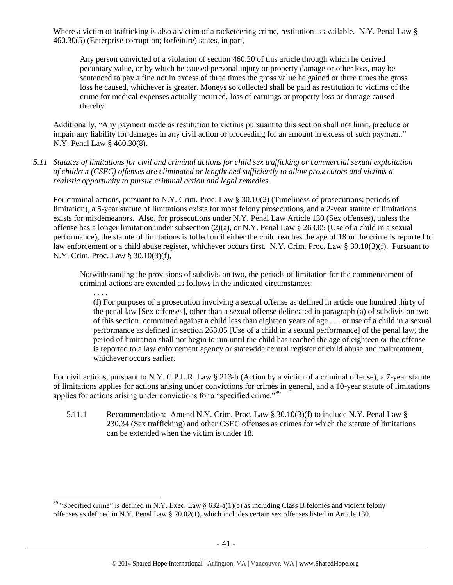Where a victim of trafficking is also a victim of a racketeering crime, restitution is available. N.Y. Penal Law § 460.30(5) (Enterprise corruption; forfeiture) states, in part,

Any person convicted of a violation of section 460.20 of this article through which he derived pecuniary value, or by which he caused personal injury or property damage or other loss, may be sentenced to pay a fine not in excess of three times the gross value he gained or three times the gross loss he caused, whichever is greater. Moneys so collected shall be paid as restitution to victims of the crime for medical expenses actually incurred, loss of earnings or property loss or damage caused thereby.

Additionally, "Any payment made as restitution to victims pursuant to this section shall not limit, preclude or impair any liability for damages in any civil action or proceeding for an amount in excess of such payment." N.Y. Penal Law § 460.30(8).

*5.11 Statutes of limitations for civil and criminal actions for child sex trafficking or commercial sexual exploitation of children (CSEC) offenses are eliminated or lengthened sufficiently to allow prosecutors and victims a realistic opportunity to pursue criminal action and legal remedies.*

For criminal actions, pursuant to N.Y. Crim. Proc. Law § 30.10(2) (Timeliness of prosecutions; periods of limitation), a 5-year statute of limitations exists for most felony prosecutions, and a 2-year statute of limitations exists for misdemeanors. Also, for prosecutions under N.Y. Penal Law Article 130 (Sex offenses), unless the offense has a longer limitation under subsection (2)(a), or N.Y. Penal Law § 263.05 (Use of a child in a sexual performance), the statute of limitations is tolled until either the child reaches the age of 18 or the crime is reported to law enforcement or a child abuse register, whichever occurs first. N.Y. Crim. Proc. Law § 30.10(3)(f). Pursuant to N.Y. Crim. Proc. Law § 30.10(3)(f),

Notwithstanding the provisions of subdivision two, the periods of limitation for the commencement of criminal actions are extended as follows in the indicated circumstances:

. . . .

 $\overline{a}$ 

(f) For purposes of a prosecution involving a sexual offense as defined in article one hundred thirty of the penal law [Sex offenses], other than a sexual offense delineated in paragraph (a) of subdivision two of this section, committed against a child less than eighteen years of age . . . or use of a child in a sexual performance as defined in section 263.05 [Use of a child in a sexual performance] of the penal law, the period of limitation shall not begin to run until the child has reached the age of eighteen or the offense is reported to a law enforcement agency or statewide central register of child abuse and maltreatment, whichever occurs earlier.

For civil actions, pursuant to N.Y. C.P.L.R. Law § 213-b (Action by a victim of a criminal offense), a 7-year statute of limitations applies for actions arising under convictions for crimes in general, and a 10-year statute of limitations applies for actions arising under convictions for a "specified crime."<sup>89</sup>

5.11.1 Recommendation: Amend N.Y. Crim. Proc. Law § 30.10(3)(f) to include N.Y. Penal Law § 230.34 (Sex trafficking) and other CSEC offenses as crimes for which the statute of limitations can be extended when the victim is under 18.

<sup>&</sup>lt;sup>89</sup> "Specified crime" is defined in N.Y. Exec. Law § 632-a(1)(e) as including Class B felonies and violent felony offenses as defined in N.Y. Penal Law § 70.02(1), which includes certain sex offenses listed in Article 130.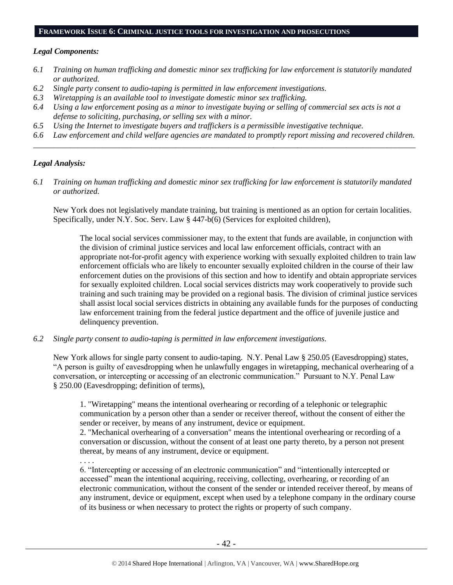#### **FRAMEWORK ISSUE 6: CRIMINAL JUSTICE TOOLS FOR INVESTIGATION AND PROSECUTIONS**

#### *Legal Components:*

- *6.1 Training on human trafficking and domestic minor sex trafficking for law enforcement is statutorily mandated or authorized.*
- *6.2 Single party consent to audio-taping is permitted in law enforcement investigations.*
- *6.3 Wiretapping is an available tool to investigate domestic minor sex trafficking.*
- *6.4 Using a law enforcement posing as a minor to investigate buying or selling of commercial sex acts is not a defense to soliciting, purchasing, or selling sex with a minor.*
- *6.5 Using the Internet to investigate buyers and traffickers is a permissible investigative technique.*
- *6.6 Law enforcement and child welfare agencies are mandated to promptly report missing and recovered children. \_\_\_\_\_\_\_\_\_\_\_\_\_\_\_\_\_\_\_\_\_\_\_\_\_\_\_\_\_\_\_\_\_\_\_\_\_\_\_\_\_\_\_\_\_\_\_\_\_\_\_\_\_\_\_\_\_\_\_\_\_\_\_\_\_\_\_\_\_\_\_\_\_\_\_\_\_\_\_\_\_\_\_\_\_\_\_\_\_\_\_\_\_\_*

## *Legal Analysis:*

. . . .

*6.1 Training on human trafficking and domestic minor sex trafficking for law enforcement is statutorily mandated or authorized.*

New York does not legislatively mandate training, but training is mentioned as an option for certain localities. Specifically, under N.Y. Soc. Serv. Law § 447-b(6) (Services for exploited children),

The local social services commissioner may, to the extent that funds are available, in conjunction with the division of criminal justice services and local law enforcement officials, contract with an appropriate not-for-profit agency with experience working with sexually exploited children to train law enforcement officials who are likely to encounter sexually exploited children in the course of their law enforcement duties on the provisions of this section and how to identify and obtain appropriate services for sexually exploited children. Local social services districts may work cooperatively to provide such training and such training may be provided on a regional basis. The division of criminal justice services shall assist local social services districts in obtaining any available funds for the purposes of conducting law enforcement training from the federal justice department and the office of juvenile justice and delinquency prevention.

*6.2 Single party consent to audio-taping is permitted in law enforcement investigations.*

New York allows for single party consent to audio-taping. N.Y. Penal Law § 250.05 (Eavesdropping) states, "A person is guilty of eavesdropping when he unlawfully engages in wiretapping, mechanical overhearing of a conversation, or intercepting or accessing of an electronic communication." Pursuant to N.Y. Penal Law § 250.00 (Eavesdropping; definition of terms),

1. "Wiretapping" means the intentional overhearing or recording of a telephonic or telegraphic communication by a person other than a sender or receiver thereof, without the consent of either the sender or receiver, by means of any instrument, device or equipment.

2. "Mechanical overhearing of a conversation" means the intentional overhearing or recording of a conversation or discussion, without the consent of at least one party thereto, by a person not present thereat, by means of any instrument, device or equipment.

6. "Intercepting or accessing of an electronic communication" and "intentionally intercepted or accessed" mean the intentional acquiring, receiving, collecting, overhearing, or recording of an electronic communication, without the consent of the sender or intended receiver thereof, by means of any instrument, device or equipment, except when used by a telephone company in the ordinary course of its business or when necessary to protect the rights or property of such company.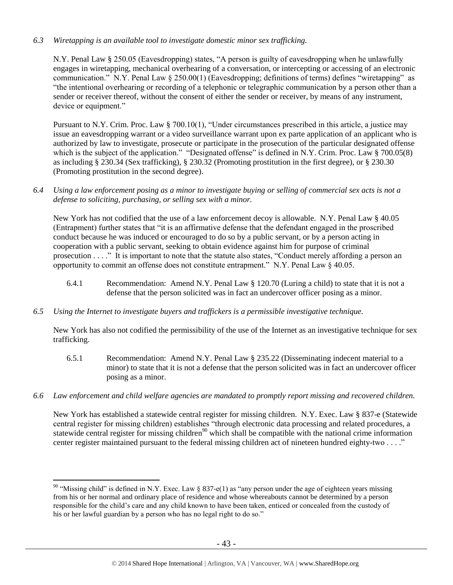## *6.3 Wiretapping is an available tool to investigate domestic minor sex trafficking.*

N.Y. Penal Law § 250.05 (Eavesdropping) states, "A person is guilty of eavesdropping when he unlawfully engages in wiretapping, mechanical overhearing of a conversation, or intercepting or accessing of an electronic communication." N.Y. Penal Law § 250.00(1) (Eavesdropping; definitions of terms) defines "wiretapping" as "the intentional overhearing or recording of a telephonic or telegraphic communication by a person other than a sender or receiver thereof, without the consent of either the sender or receiver, by means of any instrument, device or equipment."

Pursuant to N.Y. Crim. Proc. Law § 700.10(1), "Under circumstances prescribed in this article, a justice may issue an eavesdropping warrant or a video surveillance warrant upon ex parte application of an applicant who is authorized by law to investigate, prosecute or participate in the prosecution of the particular designated offense which is the subject of the application." "Designated offense" is defined in N.Y. Crim. Proc. Law § 700.05(8) as including § 230.34 (Sex trafficking), § 230.32 (Promoting prostitution in the first degree), or § 230.30 (Promoting prostitution in the second degree).

*6.4 Using a law enforcement posing as a minor to investigate buying or selling of commercial sex acts is not a defense to soliciting, purchasing, or selling sex with a minor.*

New York has not codified that the use of a law enforcement decoy is allowable. N.Y. Penal Law § 40.05 (Entrapment) further states that "it is an affirmative defense that the defendant engaged in the proscribed conduct because he was induced or encouraged to do so by a public servant, or by a person acting in cooperation with a public servant, seeking to obtain evidence against him for purpose of criminal prosecution . . . ." It is important to note that the statute also states, "Conduct merely affording a person an opportunity to commit an offense does not constitute entrapment." N.Y. Penal Law § 40.05.

- 6.4.1 Recommendation: Amend N.Y. Penal Law § 120.70 (Luring a child) to state that it is not a defense that the person solicited was in fact an undercover officer posing as a minor.
- *6.5 Using the Internet to investigate buyers and traffickers is a permissible investigative technique.*

New York has also not codified the permissibility of the use of the Internet as an investigative technique for sex trafficking.

- 6.5.1 Recommendation: Amend N.Y. Penal Law § 235.22 (Disseminating indecent material to a minor) to state that it is not a defense that the person solicited was in fact an undercover officer posing as a minor.
- *6.6 Law enforcement and child welfare agencies are mandated to promptly report missing and recovered children.*

New York has established a statewide central register for missing children. N.Y. Exec. Law § 837-e (Statewide central register for missing children) establishes "through electronic data processing and related procedures, a statewide central register for missing children<sup>90</sup> which shall be compatible with the national crime information center register maintained pursuant to the federal missing children act of nineteen hundred eighty-two  $\dots$ ."

<sup>&</sup>lt;sup>90</sup> "Missing child" is defined in N.Y. Exec. Law § 837-e(1) as "any person under the age of eighteen years missing from his or her normal and ordinary place of residence and whose whereabouts cannot be determined by a person responsible for the child's care and any child known to have been taken, enticed or concealed from the custody of his or her lawful guardian by a person who has no legal right to do so."